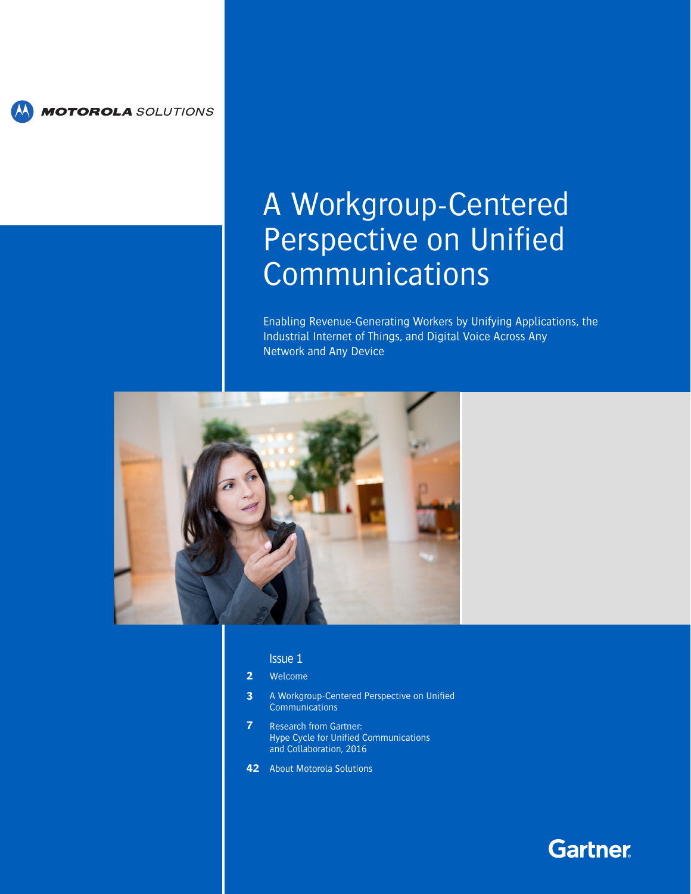

**MOTOROLA** SOLUTIONS

# A Workgroup-Centered Perspective on Unified Communications

Enabling Revenue-Generating Workers by Unifying Applications, the Industrial Internet of Things, and Digital Voice Across Any Network and Any Device



# Issue 1

#### **2** [Welcome](#page-1-0)

- **3** [A Workgroup-Centered Perspective on Unified](#page-2-0)  **[Communications](#page-2-0)**
- **7** [Research from Gartner:](#page-6-0) [Hype Cycle for Unified Communications](#page-6-0)  [and Collaboration, 201](#page-6-0)6
- **42** [About Motorola Solutions](#page-41-0)

# **Gartner**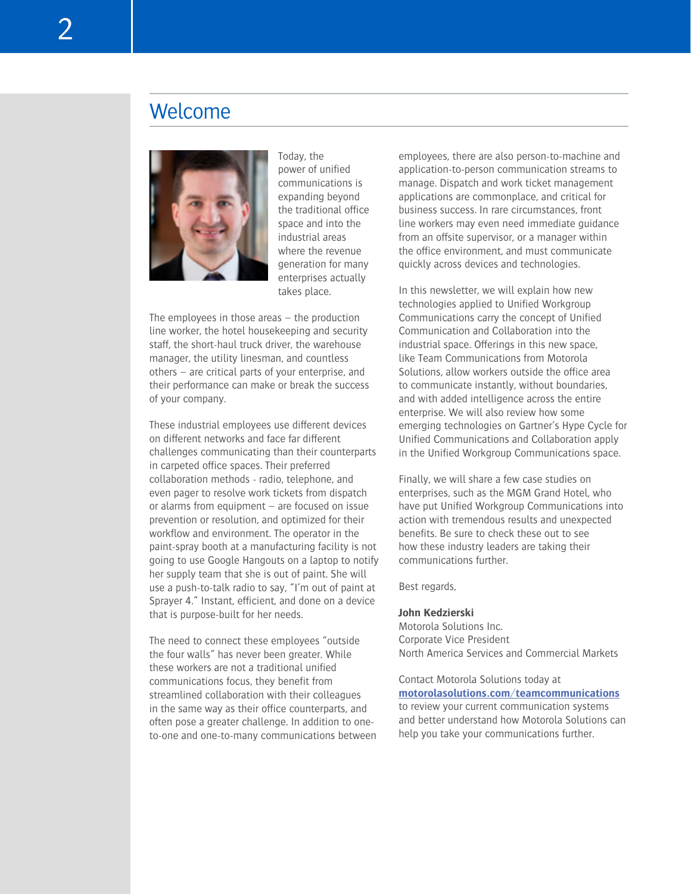<span id="page-1-0"></span>

Today, the power of unified communications is expanding beyond the traditional office space and into the industrial areas where the revenue generation for many enterprises actually takes place.

The employees in those areas – the production line worker, the hotel housekeeping and security staff, the short-haul truck driver, the warehouse manager, the utility linesman, and countless others – are critical parts of your enterprise, and their performance can make or break the success of your company.

These industrial employees use different devices on different networks and face far different challenges communicating than their counterparts in carpeted office spaces. Their preferred collaboration methods - radio, telephone, and even pager to resolve work tickets from dispatch or alarms from equipment – are focused on issue prevention or resolution, and optimized for their workflow and environment. The operator in the paint-spray booth at a manufacturing facility is not going to use Google Hangouts on a laptop to notify her supply team that she is out of paint. She will use a push-to-talk radio to say, "I'm out of paint at Sprayer 4." Instant, efficient, and done on a device that is purpose-built for her needs.

The need to connect these employees "outside the four walls" has never been greater. While these workers are not a traditional unified communications focus, they benefit from streamlined collaboration with their colleagues in the same way as their office counterparts, and often pose a greater challenge. In addition to oneto-one and one-to-many communications between employees, there are also person-to-machine and application-to-person communication streams to manage. Dispatch and work ticket management applications are commonplace, and critical for business success. In rare circumstances, front line workers may even need immediate guidance from an offsite supervisor, or a manager within the office environment, and must communicate quickly across devices and technologies.

In this newsletter, we will explain how new technologies applied to Unified Workgroup Communications carry the concept of Unified Communication and Collaboration into the industrial space. Offerings in this new space, like Team Communications from Motorola Solutions, allow workers outside the office area to communicate instantly, without boundaries, and with added intelligence across the entire enterprise. We will also review how some emerging technologies on Gartner's Hype Cycle for Unified Communications and Collaboration apply in the Unified Workgroup Communications space.

Finally, we will share a few case studies on enterprises, such as the MGM Grand Hotel, who have put Unified Workgroup Communications into action with tremendous results and unexpected benefits. Be sure to check these out to see how these industry leaders are taking their communications further.

Best regards,

#### **John Kedzierski**

Motorola Solutions Inc. Corporate Vice President North America Services and Commercial Markets

Contact Motorola Solutions today at **[motorolasolutions.com/teamcommunications](http://motorolasolutions.com/teamcommunications)** to review your current communication systems and better understand how Motorola Solutions can help you take your communications further.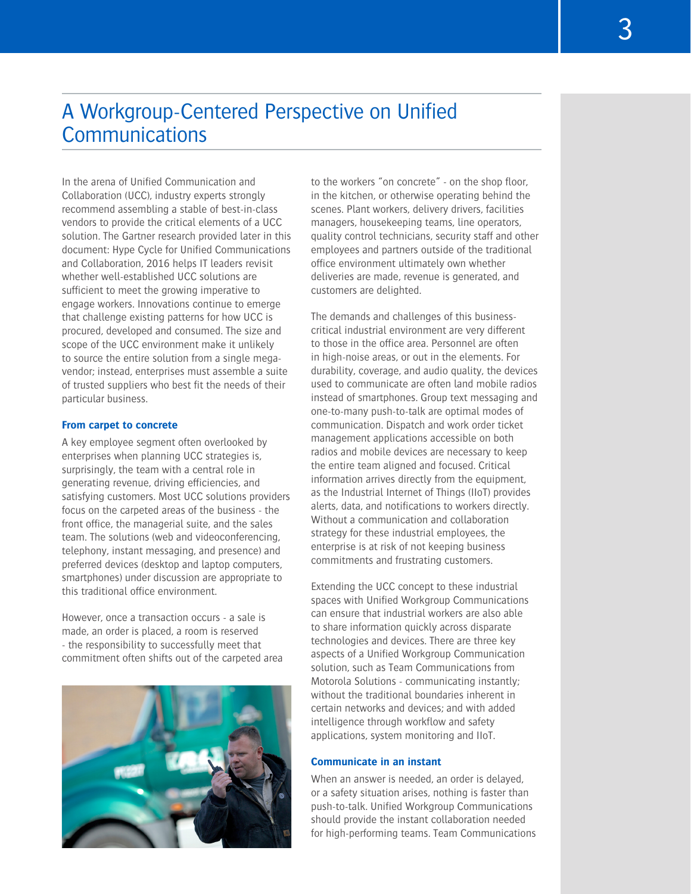# <span id="page-2-0"></span>A Workgroup-Centered Perspective on Unified **Communications**

In the arena of Unified Communication and Collaboration (UCC), industry experts strongly recommend assembling a stable of best-in-class vendors to provide the critical elements of a UCC solution. The Gartner research provided later in this document: Hype Cycle for Unified Communications and Collaboration, 2016 helps IT leaders revisit whether well-established UCC solutions are sufficient to meet the growing imperative to engage workers. Innovations continue to emerge that challenge existing patterns for how UCC is procured, developed and consumed. The size and scope of the UCC environment make it unlikely to source the entire solution from a single megavendor; instead, enterprises must assemble a suite of trusted suppliers who best fit the needs of their particular business.

### **From carpet to concrete**

A key employee segment often overlooked by enterprises when planning UCC strategies is, surprisingly, the team with a central role in generating revenue, driving efficiencies, and satisfying customers. Most UCC solutions providers focus on the carpeted areas of the business - the front office, the managerial suite, and the sales team. The solutions (web and videoconferencing, telephony, instant messaging, and presence) and preferred devices (desktop and laptop computers, smartphones) under discussion are appropriate to this traditional office environment.

However, once a transaction occurs - a sale is made, an order is placed, a room is reserved - the responsibility to successfully meet that commitment often shifts out of the carpeted area



to the workers "on concrete" - on the shop floor, in the kitchen, or otherwise operating behind the scenes. Plant workers, delivery drivers, facilities managers, housekeeping teams, line operators, quality control technicians, security staff and other employees and partners outside of the traditional office environment ultimately own whether deliveries are made, revenue is generated, and customers are delighted.

The demands and challenges of this businesscritical industrial environment are very different to those in the office area. Personnel are often in high-noise areas, or out in the elements. For durability, coverage, and audio quality, the devices used to communicate are often land mobile radios instead of smartphones. Group text messaging and one-to-many push-to-talk are optimal modes of communication. Dispatch and work order ticket management applications accessible on both radios and mobile devices are necessary to keep the entire team aligned and focused. Critical information arrives directly from the equipment, as the Industrial Internet of Things (IIoT) provides alerts, data, and notifications to workers directly. Without a communication and collaboration strategy for these industrial employees, the enterprise is at risk of not keeping business commitments and frustrating customers.

Extending the UCC concept to these industrial spaces with Unified Workgroup Communications can ensure that industrial workers are also able to share information quickly across disparate technologies and devices. There are three key aspects of a Unified Workgroup Communication solution, such as Team Communications from Motorola Solutions - communicating instantly; without the traditional boundaries inherent in certain networks and devices; and with added intelligence through workflow and safety applications, system monitoring and IIoT.

#### **Communicate in an instant**

When an answer is needed, an order is delayed, or a safety situation arises, nothing is faster than push-to-talk. Unified Workgroup Communications should provide the instant collaboration needed for high-performing teams. Team Communications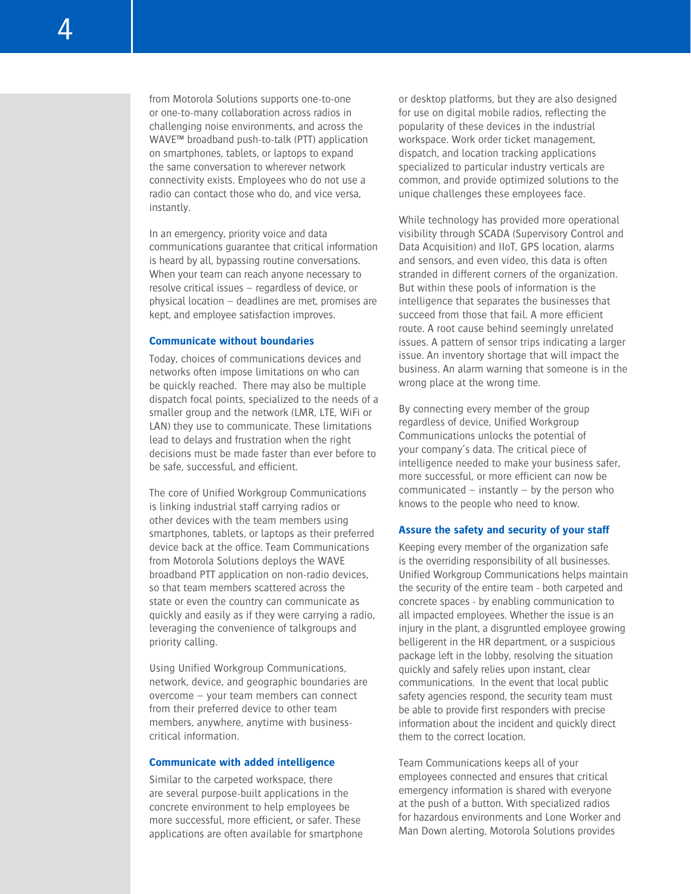from Motorola Solutions supports one-to-one or one-to-many collaboration across radios in challenging noise environments, and across the WAVE™ broadband push-to-talk (PTT) application on smartphones, tablets, or laptops to expand the same conversation to wherever network connectivity exists. Employees who do not use a radio can contact those who do, and vice versa, instantly.

In an emergency, priority voice and data communications guarantee that critical information is heard by all, bypassing routine conversations. When your team can reach anyone necessary to resolve critical issues – regardless of device, or physical location – deadlines are met, promises are kept, and employee satisfaction improves.

#### **Communicate without boundaries**

Today, choices of communications devices and networks often impose limitations on who can be quickly reached. There may also be multiple dispatch focal points, specialized to the needs of a smaller group and the network (LMR, LTE, WiFi or LAN) they use to communicate. These limitations lead to delays and frustration when the right decisions must be made faster than ever before to be safe, successful, and efficient.

The core of Unified Workgroup Communications is linking industrial staff carrying radios or other devices with the team members using smartphones, tablets, or laptops as their preferred device back at the office. Team Communications from Motorola Solutions deploys the WAVE broadband PTT application on non-radio devices, so that team members scattered across the state or even the country can communicate as quickly and easily as if they were carrying a radio, leveraging the convenience of talkgroups and priority calling.

Using Unified Workgroup Communications, network, device, and geographic boundaries are overcome – your team members can connect from their preferred device to other team members, anywhere, anytime with businesscritical information.

# **Communicate with added intelligence**

Similar to the carpeted workspace, there are several purpose-built applications in the concrete environment to help employees be more successful, more efficient, or safer. These applications are often available for smartphone or desktop platforms, but they are also designed for use on digital mobile radios, reflecting the popularity of these devices in the industrial workspace. Work order ticket management, dispatch, and location tracking applications specialized to particular industry verticals are common, and provide optimized solutions to the unique challenges these employees face.

While technology has provided more operational visibility through SCADA (Supervisory Control and Data Acquisition) and IIoT, GPS location, alarms and sensors, and even video, this data is often stranded in different corners of the organization. But within these pools of information is the intelligence that separates the businesses that succeed from those that fail. A more efficient route. A root cause behind seemingly unrelated issues. A pattern of sensor trips indicating a larger issue. An inventory shortage that will impact the business. An alarm warning that someone is in the wrong place at the wrong time.

By connecting every member of the group regardless of device, Unified Workgroup Communications unlocks the potential of your company's data. The critical piece of intelligence needed to make your business safer, more successful, or more efficient can now be communicated – instantly – by the person who knows to the people who need to know.

#### **Assure the safety and security of your staff**

Keeping every member of the organization safe is the overriding responsibility of all businesses. Unified Workgroup Communications helps maintain the security of the entire team - both carpeted and concrete spaces - by enabling communication to all impacted employees. Whether the issue is an injury in the plant, a disgruntled employee growing belligerent in the HR department, or a suspicious package left in the lobby, resolving the situation quickly and safely relies upon instant, clear communications. In the event that local public safety agencies respond, the security team must be able to provide first responders with precise information about the incident and quickly direct them to the correct location.

Team Communications keeps all of your employees connected and ensures that critical emergency information is shared with everyone at the push of a button. With specialized radios for hazardous environments and Lone Worker and Man Down alerting, Motorola Solutions provides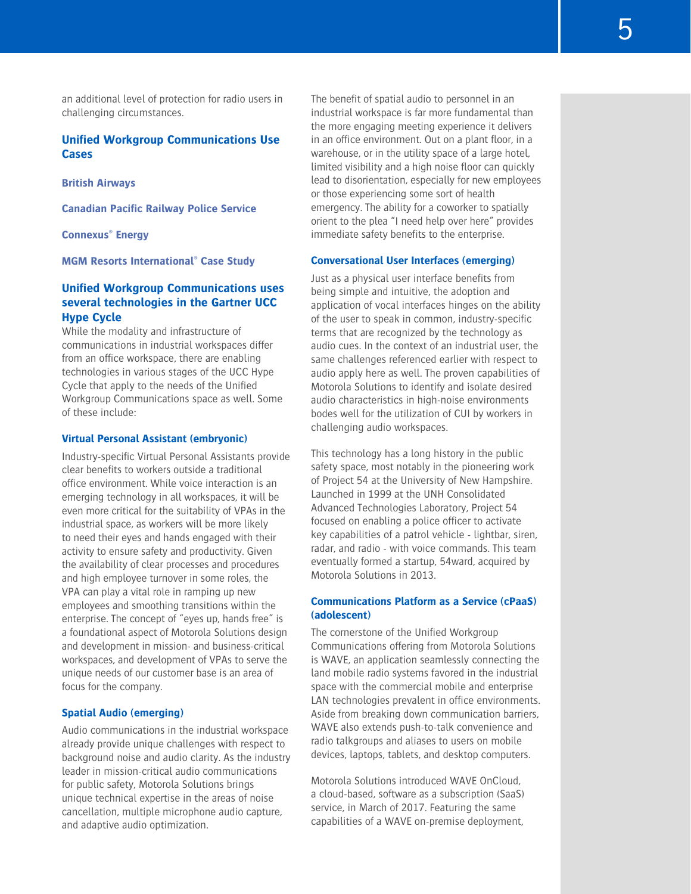an additional level of protection for radio users in challenging circumstances.

# **Unified Workgroup Communications Use Cases**

**[British Airways](http://imagesrv.gartner.com/media-products/pdf/motorola/1-3VYOSSY/British_Airways.pdf)**

**[Canadian Pacific Railway Police Service](http://imagesrv.gartner.com/media-products/pdf/motorola/1-3VYOSSY/Canadian_Pacific.pdf)**

**[Connexus® Energy](http://imagesrv.gartner.com/media-products/pdf/motorola/1-3VYOSSY/Connexus_Energy.pdf)**

**[MGM Resorts International® Case Study](http://imagesrv.gartner.com/media-products/pdf/motorola/1-3VYOSSY/MGM_Resorts.pdf)**

# **Unified Workgroup Communications uses several technologies in the Gartner UCC Hype Cycle**

While the modality and infrastructure of communications in industrial workspaces differ from an office workspace, there are enabling technologies in various stages of the UCC Hype Cycle that apply to the needs of the Unified Workgroup Communications space as well. Some of these include:

#### **Virtual Personal Assistant (embryonic)**

Industry-specific Virtual Personal Assistants provide clear benefits to workers outside a traditional office environment. While voice interaction is an emerging technology in all workspaces, it will be even more critical for the suitability of VPAs in the industrial space, as workers will be more likely to need their eyes and hands engaged with their activity to ensure safety and productivity. Given the availability of clear processes and procedures and high employee turnover in some roles, the VPA can play a vital role in ramping up new employees and smoothing transitions within the enterprise. The concept of "eyes up, hands free" is a foundational aspect of Motorola Solutions design and development in mission- and business-critical workspaces, and development of VPAs to serve the unique needs of our customer base is an area of focus for the company.

#### **Spatial Audio (emerging)**

Audio communications in the industrial workspace already provide unique challenges with respect to background noise and audio clarity. As the industry leader in mission-critical audio communications for public safety, Motorola Solutions brings unique technical expertise in the areas of noise cancellation, multiple microphone audio capture, and adaptive audio optimization.

The benefit of spatial audio to personnel in an industrial workspace is far more fundamental than the more engaging meeting experience it delivers in an office environment. Out on a plant floor, in a warehouse, or in the utility space of a large hotel, limited visibility and a high noise floor can quickly lead to disorientation, especially for new employees or those experiencing some sort of health emergency. The ability for a coworker to spatially orient to the plea "I need help over here" provides immediate safety benefits to the enterprise.

#### **Conversational User Interfaces (emerging)**

Just as a physical user interface benefits from being simple and intuitive, the adoption and application of vocal interfaces hinges on the ability of the user to speak in common, industry-specific terms that are recognized by the technology as audio cues. In the context of an industrial user, the same challenges referenced earlier with respect to audio apply here as well. The proven capabilities of Motorola Solutions to identify and isolate desired audio characteristics in high-noise environments bodes well for the utilization of CUI by workers in challenging audio workspaces.

This technology has a long history in the public safety space, most notably in the pioneering work of Project 54 at the University of New Hampshire. Launched in 1999 at the UNH Consolidated Advanced Technologies Laboratory, Project 54 focused on enabling a police officer to activate key capabilities of a patrol vehicle - lightbar, siren, radar, and radio - with voice commands. This team eventually formed a startup, 54ward, acquired by Motorola Solutions in 2013.

# **Communications Platform as a Service (cPaaS) (adolescent)**

The cornerstone of the Unified Workgroup Communications offering from Motorola Solutions is WAVE, an application seamlessly connecting the land mobile radio systems favored in the industrial space with the commercial mobile and enterprise LAN technologies prevalent in office environments. Aside from breaking down communication barriers, WAVE also extends push-to-talk convenience and radio talkgroups and aliases to users on mobile devices, laptops, tablets, and desktop computers.

Motorola Solutions introduced WAVE OnCloud, a cloud-based, software as a subscription (SaaS) service, in March of 2017. Featuring the same capabilities of a WAVE on-premise deployment,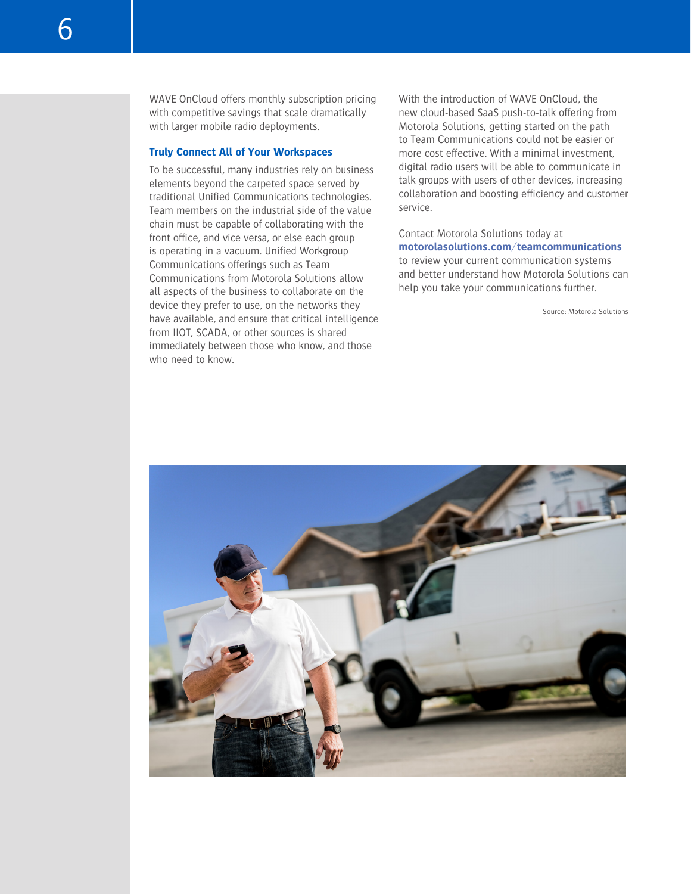WAVE OnCloud offers monthly subscription pricing with competitive savings that scale dramatically with larger mobile radio deployments.

#### **Truly Connect All of Your Workspaces**

To be successful, many industries rely on business elements beyond the carpeted space served by traditional Unified Communications technologies. Team members on the industrial side of the value chain must be capable of collaborating with the front office, and vice versa, or else each group is operating in a vacuum. Unified Workgroup Communications offerings such as Team Communications from Motorola Solutions allow all aspects of the business to collaborate on the device they prefer to use, on the networks they have available, and ensure that critical intelligence from IIOT, SCADA, or other sources is shared immediately between those who know, and those who need to know.

With the introduction of WAVE OnCloud, the new cloud-based SaaS push-to-talk offering from Motorola Solutions, getting started on the path to Team Communications could not be easier or more cost effective. With a minimal investment digital radio users will be able to communicate in talk groups with users of other devices, increasing collaboration and boosting efficiency and customer service.

Contact Motorola Solutions today at **[motorolasolutions.com/teamcommunications](http://motorolasolutions.com/teamcommunications)** to review your current communication systems and better understand how Motorola Solutions can help you take your communications further.

Source: Motorola Solutions

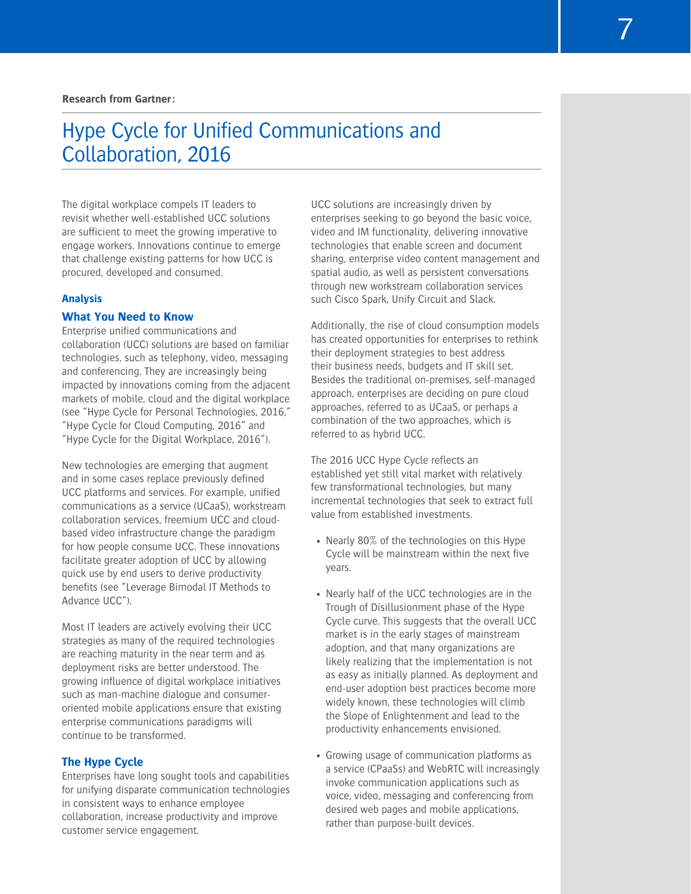#### <span id="page-6-0"></span>**Research from Gartner:**

# Hype Cycle for Unified Communications and Collaboration, 2016

The digital workplace compels IT leaders to revisit whether well-established UCC solutions are sufficient to meet the growing imperative to engage workers. Innovations continue to emerge that challenge existing patterns for how UCC is procured, developed and consumed.

# **Analysis**

# **What You Need to Know**

Enterprise unified communications and collaboration (UCC) solutions are based on familiar technologies, such as telephony, video, messaging and conferencing. They are increasingly being impacted by innovations coming from the adjacent markets of mobile, cloud and the digital workplace (see "Hype Cycle for Personal Technologies, 2016," "Hype Cycle for Cloud Computing, 2016" and "Hype Cycle for the Digital Workplace, 2016").

New technologies are emerging that augment and in some cases replace previously defined UCC platforms and services. For example, unified communications as a service (UCaaS), workstream collaboration services, freemium UCC and cloudbased video infrastructure change the paradigm for how people consume UCC. These innovations facilitate greater adoption of UCC by allowing quick use by end users to derive productivity benefits (see "Leverage Bimodal IT Methods to Advance UCC").

Most IT leaders are actively evolving their UCC strategies as many of the required technologies are reaching maturity in the near term and as deployment risks are better understood. The growing influence of digital workplace initiatives such as man-machine dialogue and consumeroriented mobile applications ensure that existing enterprise communications paradigms will continue to be transformed.

#### **The Hype Cycle**

Enterprises have long sought tools and capabilities for unifying disparate communication technologies in consistent ways to enhance employee collaboration, increase productivity and improve customer service engagement.

UCC solutions are increasingly driven by enterprises seeking to go beyond the basic voice, video and IM functionality, delivering innovative technologies that enable screen and document sharing, enterprise video content management and spatial audio, as well as persistent conversations through new workstream collaboration services such Cisco Spark, Unify Circuit and Slack.

Additionally, the rise of cloud consumption models has created opportunities for enterprises to rethink their deployment strategies to best address their business needs, budgets and IT skill set. Besides the traditional on-premises, self-managed approach, enterprises are deciding on pure cloud approaches, referred to as UCaaS, or perhaps a combination of the two approaches, which is referred to as hybrid UCC.

The 2016 UCC Hype Cycle reflects an established yet still vital market with relatively few transformational technologies, but many incremental technologies that seek to extract full value from established investments.

- Nearly 80% of the technologies on this Hype Cycle will be mainstream within the next five years.
- Nearly half of the UCC technologies are in the Trough of Disillusionment phase of the Hype Cycle curve. This suggests that the overall UCC market is in the early stages of mainstream adoption, and that many organizations are likely realizing that the implementation is not as easy as initially planned. As deployment and end-user adoption best practices become more widely known, these technologies will climb the Slope of Enlightenment and lead to the productivity enhancements envisioned.
- Growing usage of communication platforms as a service (CPaaSs) and WebRTC will increasingly invoke communication applications such as voice, video, messaging and conferencing from desired web pages and mobile applications, rather than purpose-built devices.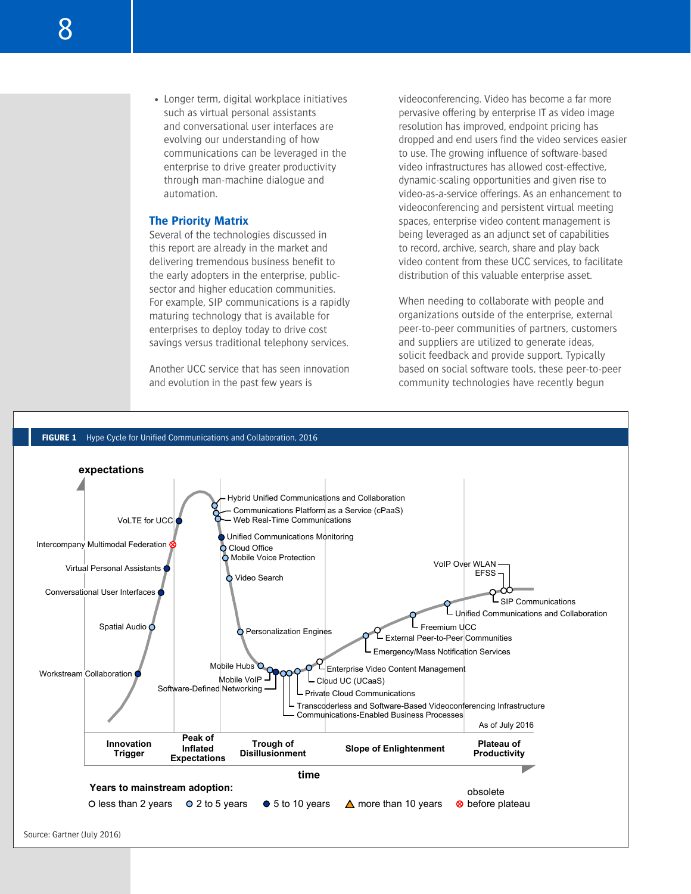• Longer term, digital workplace initiatives such as virtual personal assistants and conversational user interfaces are evolving our understanding of how communications can be leveraged in the enterprise to drive greater productivity through man-machine dialogue and automation.

#### **The Priority Matrix**

Several of the technologies discussed in this report are already in the market and delivering tremendous business benefit to the early adopters in the enterprise, publicsector and higher education communities. For example, SIP communications is a rapidly maturing technology that is available for enterprises to deploy today to drive cost savings versus traditional telephony services.

Another UCC service that has seen innovation and evolution in the past few years is

videoconferencing. Video has become a far more pervasive offering by enterprise IT as video image resolution has improved, endpoint pricing has dropped and end users find the video services easier to use. The growing influence of software-based video infrastructures has allowed cost-effective, dynamic-scaling opportunities and given rise to video-as-a-service offerings. As an enhancement to videoconferencing and persistent virtual meeting spaces, enterprise video content management is being leveraged as an adjunct set of capabilities to record, archive, search, share and play back video content from these UCC services, to facilitate distribution of this valuable enterprise asset.

When needing to collaborate with people and organizations outside of the enterprise, external peer-to-peer communities of partners, customers and suppliers are utilized to generate ideas, solicit feedback and provide support. Typically based on social software tools, these peer-to-peer community technologies have recently begun

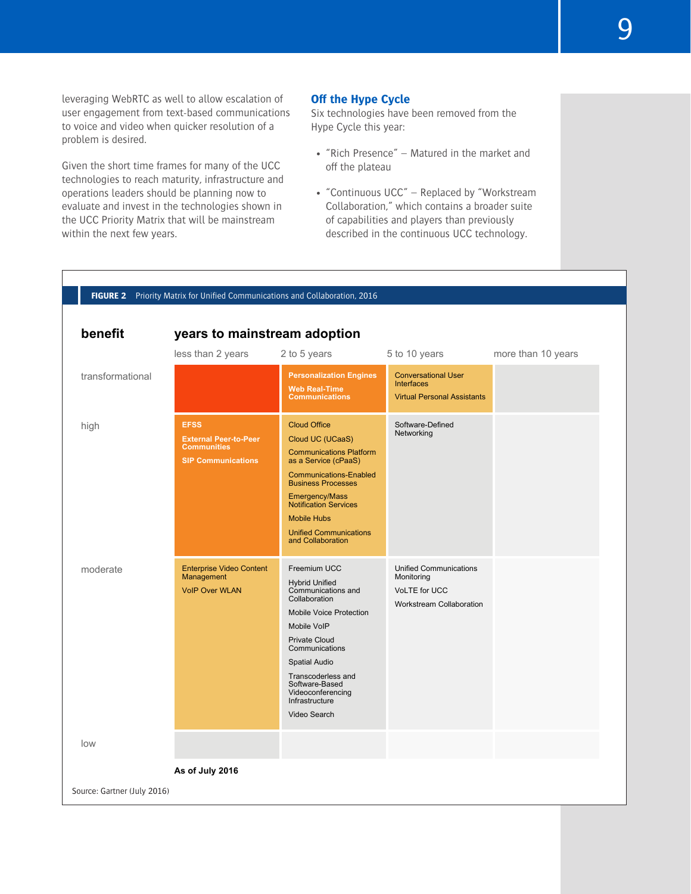leveraging WebRTC as well to allow escalation of user engagement from text-based communications to voice and video when quicker resolution of a problem is desired.

Given the short time frames for many of the UCC technologies to reach maturity, infrastructure and operations leaders should be planning now to evaluate and invest in the technologies shown in the UCC Priority Matrix that will be mainstream within the next few years.

# **Off the Hype Cycle**

Six technologies have been removed from the Hype Cycle this year:

- "Rich Presence" Matured in the market and off the plateau
- "Continuous UCC" Replaced by "Workstream Collaboration," which contains a broader suite of capabilities and players than previously described in the continuous UCC technology.

| FIGURE 2 Priority Matrix for Unified Communications and Collaboration, 2016 |                                                                                                |                                                                                                                                                                                                                                                                                                |                                                                                                 |                    |  |
|-----------------------------------------------------------------------------|------------------------------------------------------------------------------------------------|------------------------------------------------------------------------------------------------------------------------------------------------------------------------------------------------------------------------------------------------------------------------------------------------|-------------------------------------------------------------------------------------------------|--------------------|--|
| benefit<br>years to mainstream adoption                                     |                                                                                                |                                                                                                                                                                                                                                                                                                |                                                                                                 |                    |  |
|                                                                             | less than 2 years                                                                              | 2 to 5 years                                                                                                                                                                                                                                                                                   | 5 to 10 years                                                                                   | more than 10 years |  |
| transformational                                                            |                                                                                                | <b>Personalization Engines</b><br><b>Web Real-Time</b><br><b>Communications</b>                                                                                                                                                                                                                | <b>Conversational User</b><br><b>Interfaces</b><br><b>Virtual Personal Assistants</b>           |                    |  |
| high                                                                        | <b>EFSS</b><br><b>External Peer-to-Peer</b><br><b>Communities</b><br><b>SIP Communications</b> | <b>Cloud Office</b><br>Cloud UC (UCaaS)<br><b>Communications Platform</b><br>as a Service (cPaaS)<br><b>Communications-Enabled</b><br><b>Business Processes</b><br>Emergency/Mass<br><b>Notification Services</b><br><b>Mobile Hubs</b><br><b>Unified Communications</b><br>and Collaboration  | Software-Defined<br>Networking                                                                  |                    |  |
| moderate                                                                    | <b>Enterprise Video Content</b><br>Management<br><b>VolP Over WLAN</b>                         | Freemium UCC<br><b>Hybrid Unified</b><br>Communications and<br>Collaboration<br><b>Mobile Voice Protection</b><br>Mobile VoIP<br><b>Private Cloud</b><br>Communications<br><b>Spatial Audio</b><br>Transcoderless and<br>Software-Based<br>Videoconferencing<br>Infrastructure<br>Video Search | <b>Unified Communications</b><br>Monitoring<br>VoLTE for UCC<br><b>Workstream Collaboration</b> |                    |  |
| low                                                                         |                                                                                                |                                                                                                                                                                                                                                                                                                |                                                                                                 |                    |  |
| As of July 2016                                                             |                                                                                                |                                                                                                                                                                                                                                                                                                |                                                                                                 |                    |  |
| Source: Gartner (July 2016)                                                 |                                                                                                |                                                                                                                                                                                                                                                                                                |                                                                                                 |                    |  |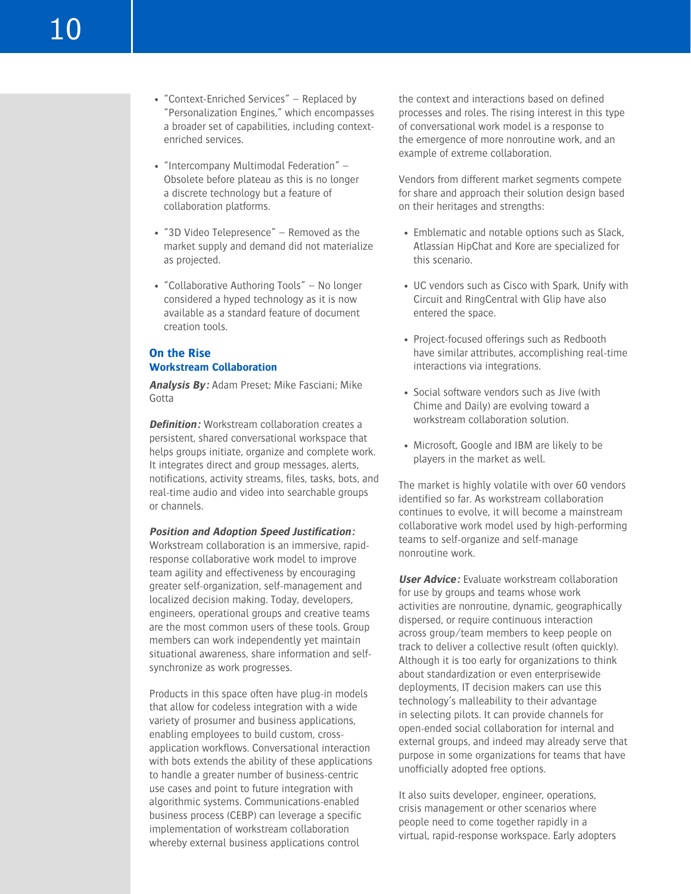- "Context-Enriched Services" Replaced by "Personalization Engines," which encompasses a broader set of capabilities, including contextenriched services.
- "Intercompany Multimodal Federation" Obsolete before plateau as this is no longer a discrete technology but a feature of collaboration platforms.
- "3D Video Telepresence" Removed as the market supply and demand did not materialize as projected.
- "Collaborative Authoring Tools" No longer considered a hyped technology as it is now available as a standard feature of document creation tools.

# **On the Rise Workstream Collaboration**

**Analysis By:** Adam Preset; Mike Fasciani; Mike Gotta

**Definition:** Workstream collaboration creates a persistent, shared conversational workspace that helps groups initiate, organize and complete work. It integrates direct and group messages, alerts, notifications, activity streams, files, tasks, bots, and real-time audio and video into searchable groups or channels.

#### **Position and Adoption Speed Justification:**

Workstream collaboration is an immersive, rapidresponse collaborative work model to improve team agility and effectiveness by encouraging greater self-organization, self-management and localized decision making. Today, developers, engineers, operational groups and creative teams are the most common users of these tools. Group members can work independently yet maintain situational awareness, share information and selfsynchronize as work progresses.

Products in this space often have plug-in models that allow for codeless integration with a wide variety of prosumer and business applications, enabling employees to build custom, crossapplication workflows. Conversational interaction with bots extends the ability of these applications to handle a greater number of business-centric use cases and point to future integration with algorithmic systems. Communications-enabled business process (CEBP) can leverage a specific implementation of workstream collaboration whereby external business applications control

the context and interactions based on defined processes and roles. The rising interest in this type of conversational work model is a response to the emergence of more nonroutine work, and an example of extreme collaboration.

Vendors from different market segments compete for share and approach their solution design based on their heritages and strengths:

- Emblematic and notable options such as Slack, Atlassian HipChat and Kore are specialized for this scenario.
- UC vendors such as Cisco with Spark, Unify with Circuit and RingCentral with Glip have also entered the space.
- Project-focused offerings such as Redbooth have similar attributes, accomplishing real-time interactions via integrations.
- Social software vendors such as Jive (with Chime and Daily) are evolving toward a workstream collaboration solution.
- Microsoft, Google and IBM are likely to be players in the market as well.

The market is highly volatile with over 60 vendors identified so far. As workstream collaboration continues to evolve, it will become a mainstream collaborative work model used by high-performing teams to self-organize and self-manage nonroutine work.

**User Advice:** Evaluate workstream collaboration for use by groups and teams whose work activities are nonroutine, dynamic, geographically dispersed, or require continuous interaction across group/team members to keep people on track to deliver a collective result (often quickly). Although it is too early for organizations to think about standardization or even enterprisewide deployments, IT decision makers can use this technology's malleability to their advantage in selecting pilots. It can provide channels for open-ended social collaboration for internal and external groups, and indeed may already serve that purpose in some organizations for teams that have unofficially adopted free options.

It also suits developer, engineer, operations, crisis management or other scenarios where people need to come together rapidly in a virtual, rapid-response workspace. Early adopters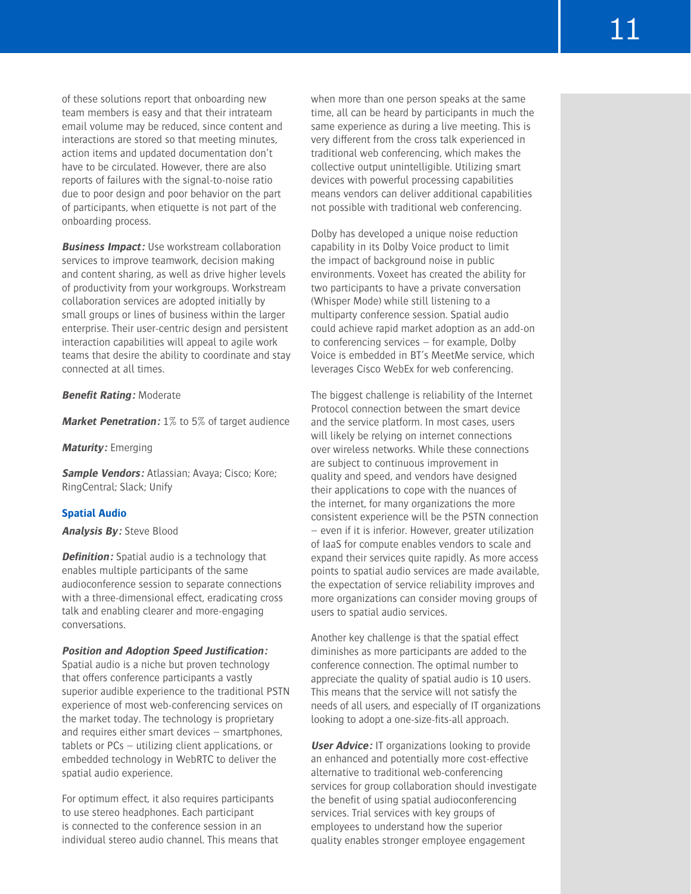of these solutions report that onboarding new team members is easy and that their intrateam email volume may be reduced, since content and interactions are stored so that meeting minutes, action items and updated documentation don't have to be circulated. However, there are also reports of failures with the signal-to-noise ratio due to poor design and poor behavior on the part of participants, when etiquette is not part of the onboarding process.

**Business Impact:** Use workstream collaboration services to improve teamwork, decision making and content sharing, as well as drive higher levels of productivity from your workgroups. Workstream collaboration services are adopted initially by small groups or lines of business within the larger enterprise. Their user-centric design and persistent interaction capabilities will appeal to agile work teams that desire the ability to coordinate and stay connected at all times.

#### **Benefit Rating:** Moderate

**Market Penetration:** 1% to 5% of target audience

**Maturity:** Emerging

**Sample Vendors:** Atlassian; Avaya; Cisco; Kore; RingCentral; Slack; Unify

#### **Spatial Audio**

#### **Analysis By:** Steve Blood

**Definition:** Spatial audio is a technology that enables multiple participants of the same audioconference session to separate connections with a three-dimensional effect, eradicating cross talk and enabling clearer and more-engaging conversations.

#### **Position and Adoption Speed Justification:**

Spatial audio is a niche but proven technology that offers conference participants a vastly superior audible experience to the traditional PSTN experience of most web-conferencing services on the market today. The technology is proprietary and requires either smart devices – smartphones, tablets or PCs – utilizing client applications, or embedded technology in WebRTC to deliver the spatial audio experience.

For optimum effect, it also requires participants to use stereo headphones. Each participant is connected to the conference session in an individual stereo audio channel. This means that when more than one person speaks at the same time, all can be heard by participants in much the same experience as during a live meeting. This is very different from the cross talk experienced in traditional web conferencing, which makes the collective output unintelligible. Utilizing smart devices with powerful processing capabilities means vendors can deliver additional capabilities not possible with traditional web conferencing.

Dolby has developed a unique noise reduction capability in its Dolby Voice product to limit the impact of background noise in public environments. Voxeet has created the ability for two participants to have a private conversation (Whisper Mode) while still listening to a multiparty conference session. Spatial audio could achieve rapid market adoption as an add-on to conferencing services – for example, Dolby Voice is embedded in BT's MeetMe service, which leverages Cisco WebEx for web conferencing.

The biggest challenge is reliability of the Internet Protocol connection between the smart device and the service platform. In most cases, users will likely be relying on internet connections over wireless networks. While these connections are subject to continuous improvement in quality and speed, and vendors have designed their applications to cope with the nuances of the internet, for many organizations the more consistent experience will be the PSTN connection – even if it is inferior. However, greater utilization of IaaS for compute enables vendors to scale and expand their services quite rapidly. As more access points to spatial audio services are made available, the expectation of service reliability improves and more organizations can consider moving groups of users to spatial audio services.

Another key challenge is that the spatial effect diminishes as more participants are added to the conference connection. The optimal number to appreciate the quality of spatial audio is 10 users. This means that the service will not satisfy the needs of all users, and especially of IT organizations looking to adopt a one-size-fits-all approach.

**User Advice:** IT organizations looking to provide an enhanced and potentially more cost-effective alternative to traditional web-conferencing services for group collaboration should investigate the benefit of using spatial audioconferencing services. Trial services with key groups of employees to understand how the superior quality enables stronger employee engagement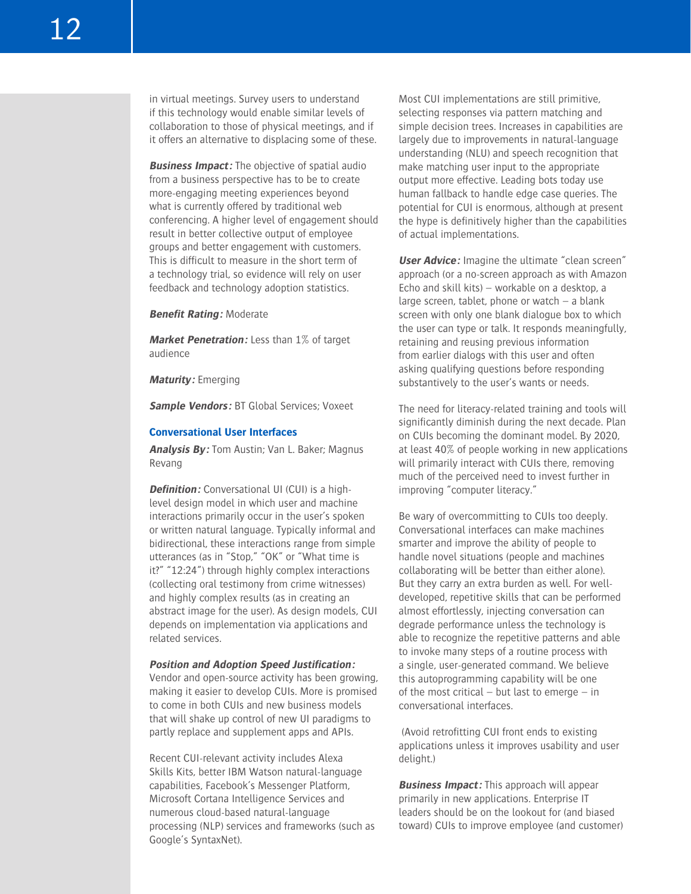in virtual meetings. Survey users to understand if this technology would enable similar levels of collaboration to those of physical meetings, and if it offers an alternative to displacing some of these.

**Business Impact:** The objective of spatial audio from a business perspective has to be to create more-engaging meeting experiences beyond what is currently offered by traditional web conferencing. A higher level of engagement should result in better collective output of employee groups and better engagement with customers. This is difficult to measure in the short term of a technology trial, so evidence will rely on user feedback and technology adoption statistics.

**Benefit Rating:** Moderate

**Market Penetration:** Less than 1% of target audience

**Maturity:** Emerging

**Sample Vendors:** BT Global Services; Voxeet

#### **Conversational User Interfaces**

**Analysis By:** Tom Austin; Van L. Baker; Magnus Revang

**Definition:** Conversational UI (CUI) is a highlevel design model in which user and machine interactions primarily occur in the user's spoken or written natural language. Typically informal and bidirectional, these interactions range from simple utterances (as in "Stop," "OK" or "What time is it?" "12:24") through highly complex interactions (collecting oral testimony from crime witnesses) and highly complex results (as in creating an abstract image for the user). As design models, CUI depends on implementation via applications and related services.

#### **Position and Adoption Speed Justification:**

Vendor and open-source activity has been growing, making it easier to develop CUIs. More is promised to come in both CUIs and new business models that will shake up control of new UI paradigms to partly replace and supplement apps and APIs.

Recent CUI-relevant activity includes Alexa Skills Kits, better IBM Watson natural-language capabilities, Facebook's Messenger Platform, Microsoft Cortana Intelligence Services and numerous cloud-based natural-language processing (NLP) services and frameworks (such as Google's SyntaxNet).

Most CUI implementations are still primitive, selecting responses via pattern matching and simple decision trees. Increases in capabilities are largely due to improvements in natural-language understanding (NLU) and speech recognition that make matching user input to the appropriate output more effective. Leading bots today use human fallback to handle edge case queries. The potential for CUI is enormous, although at present the hype is definitively higher than the capabilities of actual implementations.

**User Advice:** Imagine the ultimate "clean screen" approach (or a no-screen approach as with Amazon Echo and skill kits) – workable on a desktop, a large screen, tablet, phone or watch – a blank screen with only one blank dialogue box to which the user can type or talk. It responds meaningfully, retaining and reusing previous information from earlier dialogs with this user and often asking qualifying questions before responding substantively to the user's wants or needs.

The need for literacy-related training and tools will significantly diminish during the next decade. Plan on CUIs becoming the dominant model. By 2020, at least 40% of people working in new applications will primarily interact with CUIs there, removing much of the perceived need to invest further in improving "computer literacy."

Be wary of overcommitting to CUIs too deeply. Conversational interfaces can make machines smarter and improve the ability of people to handle novel situations (people and machines collaborating will be better than either alone). But they carry an extra burden as well. For welldeveloped, repetitive skills that can be performed almost effortlessly, injecting conversation can degrade performance unless the technology is able to recognize the repetitive patterns and able to invoke many steps of a routine process with a single, user-generated command. We believe this autoprogramming capability will be one of the most critical – but last to emerge – in conversational interfaces.

 (Avoid retrofitting CUI front ends to existing applications unless it improves usability and user delight.)

**Business Impact:** This approach will appear primarily in new applications. Enterprise IT leaders should be on the lookout for (and biased toward) CUIs to improve employee (and customer)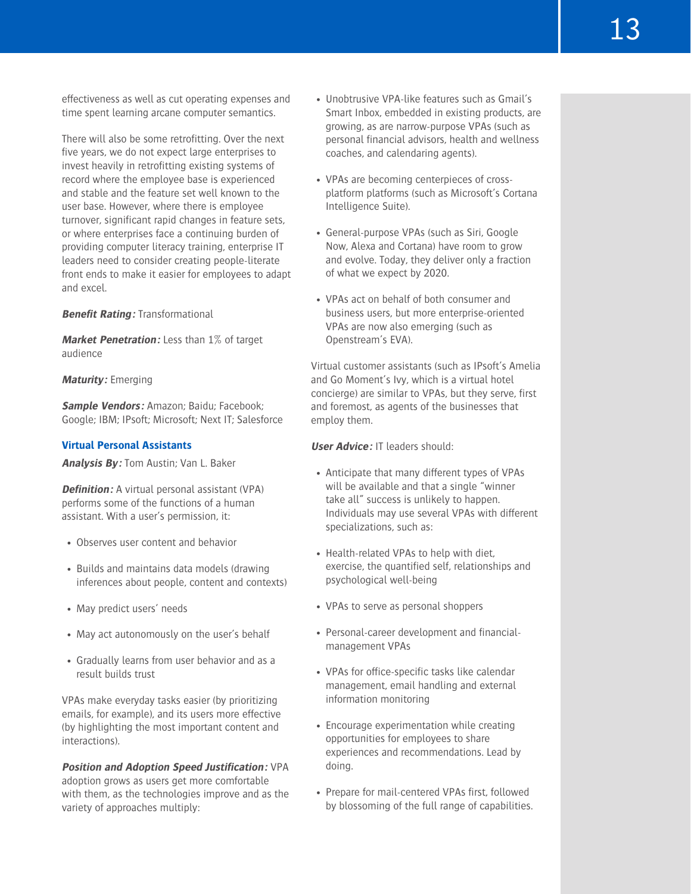effectiveness as well as cut operating expenses and time spent learning arcane computer semantics.

There will also be some retrofitting. Over the next five years, we do not expect large enterprises to invest heavily in retrofitting existing systems of record where the employee base is experienced and stable and the feature set well known to the user base. However, where there is employee turnover, significant rapid changes in feature sets, or where enterprises face a continuing burden of providing computer literacy training, enterprise IT leaders need to consider creating people-literate front ends to make it easier for employees to adapt and excel.

#### **Benefit Rating:** Transformational

**Market Penetration:** Less than 1% of target audience

#### **Maturity:** Emerging

**Sample Vendors:** Amazon; Baidu; Facebook; Google; IBM; IPsoft; Microsoft; Next IT; Salesforce

#### **Virtual Personal Assistants**

**Analysis By:** Tom Austin; Van L. Baker

**Definition:** A virtual personal assistant (VPA) performs some of the functions of a human assistant. With a user's permission, it:

- Observes user content and behavior
- Builds and maintains data models (drawing inferences about people, content and contexts)
- May predict users' needs
- May act autonomously on the user's behalf
- Gradually learns from user behavior and as a result builds trust

VPAs make everyday tasks easier (by prioritizing emails, for example), and its users more effective (by highlighting the most important content and interactions).

**Position and Adoption Speed Justification:** VPA adoption grows as users get more comfortable with them, as the technologies improve and as the variety of approaches multiply:

- Unobtrusive VPA-like features such as Gmail's Smart Inbox, embedded in existing products, are growing, as are narrow-purpose VPAs (such as personal financial advisors, health and wellness coaches, and calendaring agents).
- VPAs are becoming centerpieces of crossplatform platforms (such as Microsoft's Cortana Intelligence Suite).
- General-purpose VPAs (such as Siri, Google Now, Alexa and Cortana) have room to grow and evolve. Today, they deliver only a fraction of what we expect by 2020.
- VPAs act on behalf of both consumer and business users, but more enterprise-oriented VPAs are now also emerging (such as Openstream's EVA).

Virtual customer assistants (such as IPsoft's Amelia and Go Moment's Ivy, which is a virtual hotel concierge) are similar to VPAs, but they serve, first and foremost, as agents of the businesses that employ them.

**User Advice:** IT leaders should:

- Anticipate that many different types of VPAs will be available and that a single "winner take all" success is unlikely to happen. Individuals may use several VPAs with different specializations, such as:
- Health-related VPAs to help with diet, exercise, the quantified self, relationships and psychological well-being
- VPAs to serve as personal shoppers
- Personal-career development and financialmanagement VPAs
- VPAs for office-specific tasks like calendar management, email handling and external information monitoring
- Encourage experimentation while creating opportunities for employees to share experiences and recommendations. Lead by doing.
- Prepare for mail-centered VPAs first, followed by blossoming of the full range of capabilities.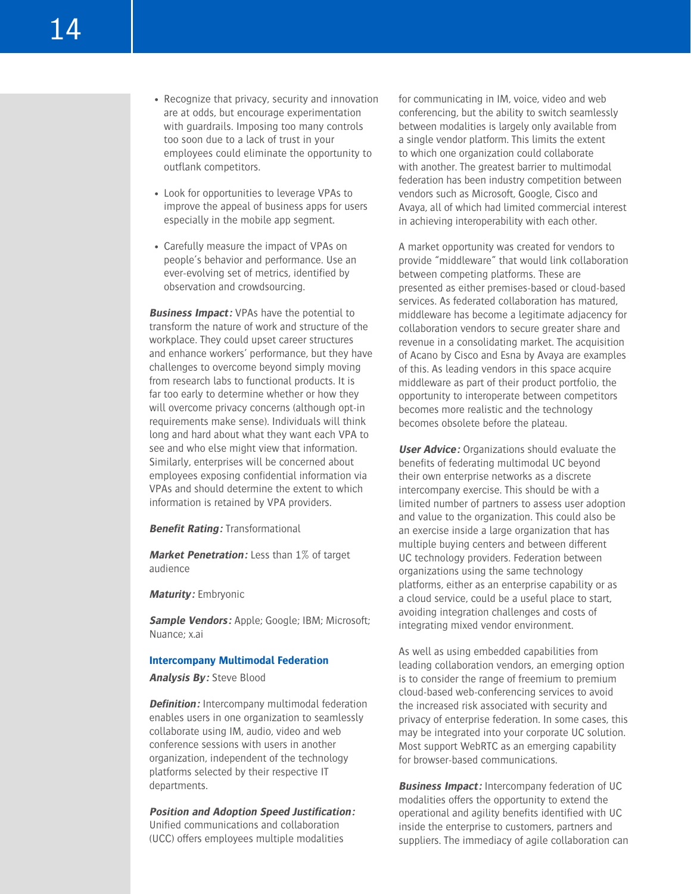- Recognize that privacy, security and innovation are at odds, but encourage experimentation with guardrails. Imposing too many controls too soon due to a lack of trust in your employees could eliminate the opportunity to outflank competitors.
- Look for opportunities to leverage VPAs to improve the appeal of business apps for users especially in the mobile app segment.
- Carefully measure the impact of VPAs on people's behavior and performance. Use an ever-evolving set of metrics, identified by observation and crowdsourcing.

**Business Impact:** VPAs have the potential to transform the nature of work and structure of the workplace. They could upset career structures and enhance workers' performance, but they have challenges to overcome beyond simply moving from research labs to functional products. It is far too early to determine whether or how they will overcome privacy concerns (although opt-in requirements make sense). Individuals will think long and hard about what they want each VPA to see and who else might view that information. Similarly, enterprises will be concerned about employees exposing confidential information via VPAs and should determine the extent to which information is retained by VPA providers.

**Benefit Rating:** Transformational

**Market Penetration:** Less than 1% of target audience

**Maturity:** Embryonic

**Sample Vendors:** Apple; Google; IBM; Microsoft; Nuance; x.ai

#### **Intercompany Multimodal Federation**

**Analysis By:** Steve Blood

**Definition:** Intercompany multimodal federation enables users in one organization to seamlessly collaborate using IM, audio, video and web conference sessions with users in another organization, independent of the technology platforms selected by their respective IT departments.

**Position and Adoption Speed Justification:** Unified communications and collaboration (UCC) offers employees multiple modalities

for communicating in IM, voice, video and web conferencing, but the ability to switch seamlessly between modalities is largely only available from a single vendor platform. This limits the extent to which one organization could collaborate with another. The greatest barrier to multimodal federation has been industry competition between vendors such as Microsoft, Google, Cisco and Avaya, all of which had limited commercial interest in achieving interoperability with each other.

A market opportunity was created for vendors to provide "middleware" that would link collaboration between competing platforms. These are presented as either premises-based or cloud-based services. As federated collaboration has matured, middleware has become a legitimate adjacency for collaboration vendors to secure greater share and revenue in a consolidating market. The acquisition of Acano by Cisco and Esna by Avaya are examples of this. As leading vendors in this space acquire middleware as part of their product portfolio, the opportunity to interoperate between competitors becomes more realistic and the technology becomes obsolete before the plateau.

**User Advice:** Organizations should evaluate the benefits of federating multimodal UC beyond their own enterprise networks as a discrete intercompany exercise. This should be with a limited number of partners to assess user adoption and value to the organization. This could also be an exercise inside a large organization that has multiple buying centers and between different UC technology providers. Federation between organizations using the same technology platforms, either as an enterprise capability or as a cloud service, could be a useful place to start, avoiding integration challenges and costs of integrating mixed vendor environment.

As well as using embedded capabilities from leading collaboration vendors, an emerging option is to consider the range of freemium to premium cloud-based web-conferencing services to avoid the increased risk associated with security and privacy of enterprise federation. In some cases, this may be integrated into your corporate UC solution. Most support WebRTC as an emerging capability for browser-based communications.

**Business Impact:** Intercompany federation of UC modalities offers the opportunity to extend the operational and agility benefits identified with UC inside the enterprise to customers, partners and suppliers. The immediacy of agile collaboration can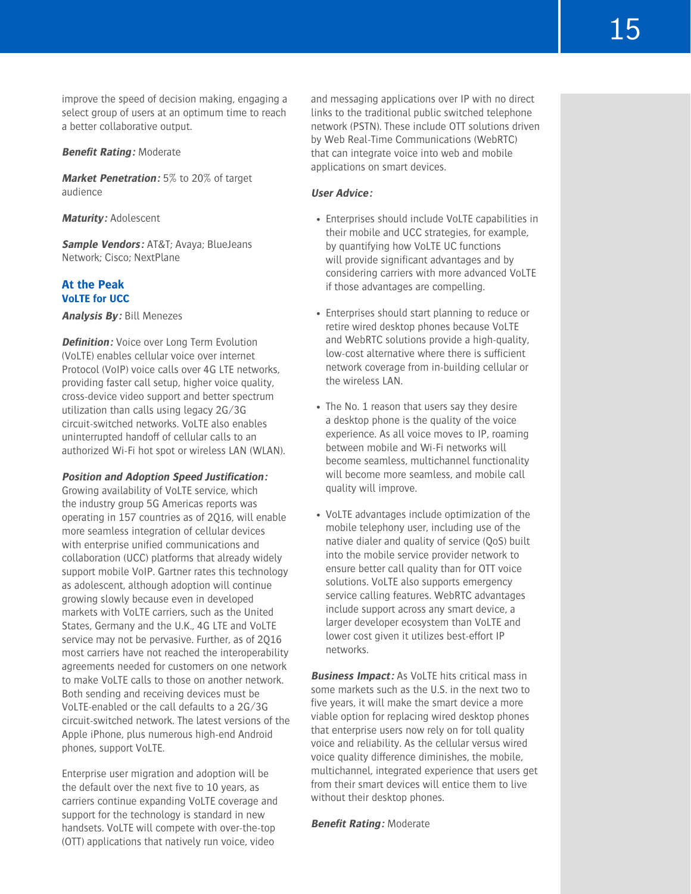improve the speed of decision making, engaging a select group of users at an optimum time to reach a better collaborative output.

#### **Benefit Rating:** Moderate

**Market Penetration:** 5% to 20% of target audience

**Maturity:** Adolescent

**Sample Vendors:** AT&T; Avaya; BlueJeans Network; Cisco; NextPlane

# **At the Peak VoLTE for UCC**

**Analysis By:** Bill Menezes

**Definition:** Voice over Long Term Evolution (VoLTE) enables cellular voice over internet Protocol (VoIP) voice calls over 4G LTE networks, providing faster call setup, higher voice quality, cross-device video support and better spectrum utilization than calls using legacy 2G/3G circuit-switched networks. VoLTE also enables uninterrupted handoff of cellular calls to an authorized Wi-Fi hot spot or wireless LAN (WLAN).

#### **Position and Adoption Speed Justification:**

Growing availability of VoLTE service, which the industry group 5G Americas reports was operating in 157 countries as of 2Q16, will enable more seamless integration of cellular devices with enterprise unified communications and collaboration (UCC) platforms that already widely support mobile VoIP. Gartner rates this technology as adolescent, although adoption will continue growing slowly because even in developed markets with VoLTE carriers, such as the United States, Germany and the U.K., 4G LTE and VoLTE service may not be pervasive. Further, as of 2Q16 most carriers have not reached the interoperability agreements needed for customers on one network to make VoLTE calls to those on another network. Both sending and receiving devices must be VoLTE-enabled or the call defaults to a 2G/3G circuit-switched network. The latest versions of the Apple iPhone, plus numerous high-end Android phones, support VoLTE.

Enterprise user migration and adoption will be the default over the next five to 10 years, as carriers continue expanding VoLTE coverage and support for the technology is standard in new handsets. VoLTE will compete with over-the-top (OTT) applications that natively run voice, video

and messaging applications over IP with no direct links to the traditional public switched telephone network (PSTN). These include OTT solutions driven by Web Real-Time Communications (WebRTC) that can integrate voice into web and mobile applications on smart devices.

#### **User Advice:**

- Enterprises should include VoLTE capabilities in their mobile and UCC strategies, for example, by quantifying how VoLTE UC functions will provide significant advantages and by considering carriers with more advanced VoLTE if those advantages are compelling.
- Enterprises should start planning to reduce or retire wired desktop phones because VoLTE and WebRTC solutions provide a high-quality, low-cost alternative where there is sufficient network coverage from in-building cellular or the wireless LAN.
- The No. 1 reason that users say they desire a desktop phone is the quality of the voice experience. As all voice moves to IP, roaming between mobile and Wi-Fi networks will become seamless, multichannel functionality will become more seamless, and mobile call quality will improve.
- VoLTE advantages include optimization of the mobile telephony user, including use of the native dialer and quality of service (QoS) built into the mobile service provider network to ensure better call quality than for OTT voice solutions. VoLTE also supports emergency service calling features. WebRTC advantages include support across any smart device, a larger developer ecosystem than VoLTE and lower cost given it utilizes best-effort IP networks.

**Business Impact:** As VoLTE hits critical mass in some markets such as the U.S. in the next two to five years, it will make the smart device a more viable option for replacing wired desktop phones that enterprise users now rely on for toll quality voice and reliability. As the cellular versus wired voice quality difference diminishes, the mobile, multichannel, integrated experience that users get from their smart devices will entice them to live without their desktop phones.

**Benefit Rating:** Moderate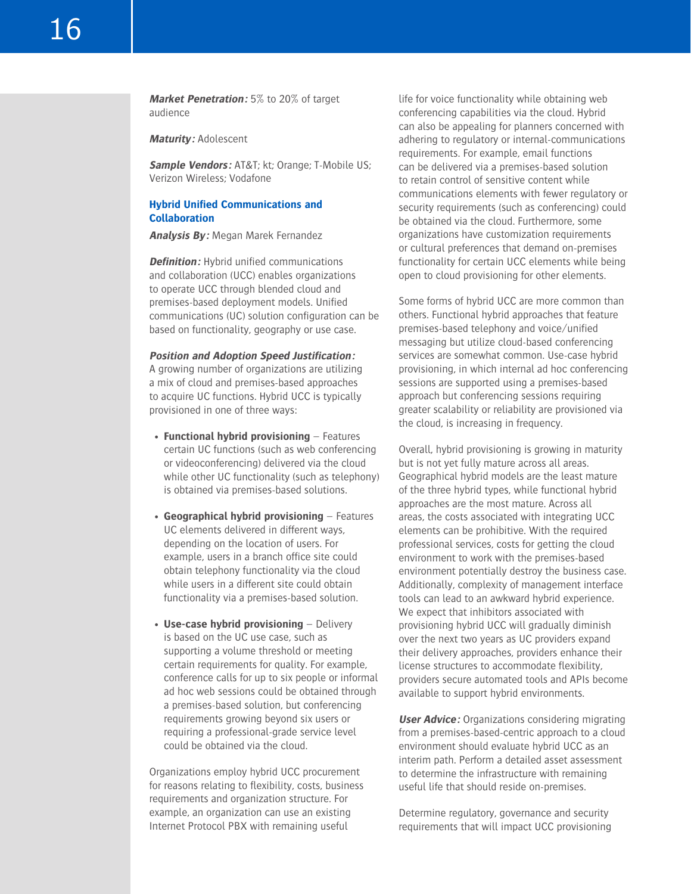**Market Penetration:** 5% to 20% of target audience

**Maturity:** Adolescent

**Sample Vendors:** AT&T; kt; Orange; T-Mobile US; Verizon Wireless; Vodafone

# **Hybrid Unified Communications and Collaboration**

**Analysis By:** Megan Marek Fernandez

**Definition:** Hybrid unified communications and collaboration (UCC) enables organizations to operate UCC through blended cloud and premises-based deployment models. Unified communications (UC) solution configuration can be based on functionality, geography or use case.

**Position and Adoption Speed Justification:**

A growing number of organizations are utilizing a mix of cloud and premises-based approaches to acquire UC functions. Hybrid UCC is typically provisioned in one of three ways:

- **Functional hybrid provisioning** Features certain UC functions (such as web conferencing or videoconferencing) delivered via the cloud while other UC functionality (such as telephony) is obtained via premises-based solutions.
- **Geographical hybrid provisioning** Features UC elements delivered in different ways, depending on the location of users. For example, users in a branch office site could obtain telephony functionality via the cloud while users in a different site could obtain functionality via a premises-based solution.
- **Use-case hybrid provisioning** Delivery is based on the UC use case, such as supporting a volume threshold or meeting certain requirements for quality. For example, conference calls for up to six people or informal ad hoc web sessions could be obtained through a premises-based solution, but conferencing requirements growing beyond six users or requiring a professional-grade service level could be obtained via the cloud.

Organizations employ hybrid UCC procurement for reasons relating to flexibility, costs, business requirements and organization structure. For example, an organization can use an existing Internet Protocol PBX with remaining useful

life for voice functionality while obtaining web conferencing capabilities via the cloud. Hybrid can also be appealing for planners concerned with adhering to regulatory or internal-communications requirements. For example, email functions can be delivered via a premises-based solution to retain control of sensitive content while communications elements with fewer regulatory or security requirements (such as conferencing) could be obtained via the cloud. Furthermore, some organizations have customization requirements or cultural preferences that demand on-premises functionality for certain UCC elements while being open to cloud provisioning for other elements.

Some forms of hybrid UCC are more common than others. Functional hybrid approaches that feature premises-based telephony and voice/unified messaging but utilize cloud-based conferencing services are somewhat common. Use-case hybrid provisioning, in which internal ad hoc conferencing sessions are supported using a premises-based approach but conferencing sessions requiring greater scalability or reliability are provisioned via the cloud, is increasing in frequency.

Overall, hybrid provisioning is growing in maturity but is not yet fully mature across all areas. Geographical hybrid models are the least mature of the three hybrid types, while functional hybrid approaches are the most mature. Across all areas, the costs associated with integrating UCC elements can be prohibitive. With the required professional services, costs for getting the cloud environment to work with the premises-based environment potentially destroy the business case. Additionally, complexity of management interface tools can lead to an awkward hybrid experience. We expect that inhibitors associated with provisioning hybrid UCC will gradually diminish over the next two years as UC providers expand their delivery approaches, providers enhance their license structures to accommodate flexibility, providers secure automated tools and APIs become available to support hybrid environments.

**User Advice:** Organizations considering migrating from a premises-based-centric approach to a cloud environment should evaluate hybrid UCC as an interim path. Perform a detailed asset assessment to determine the infrastructure with remaining useful life that should reside on-premises.

Determine regulatory, governance and security requirements that will impact UCC provisioning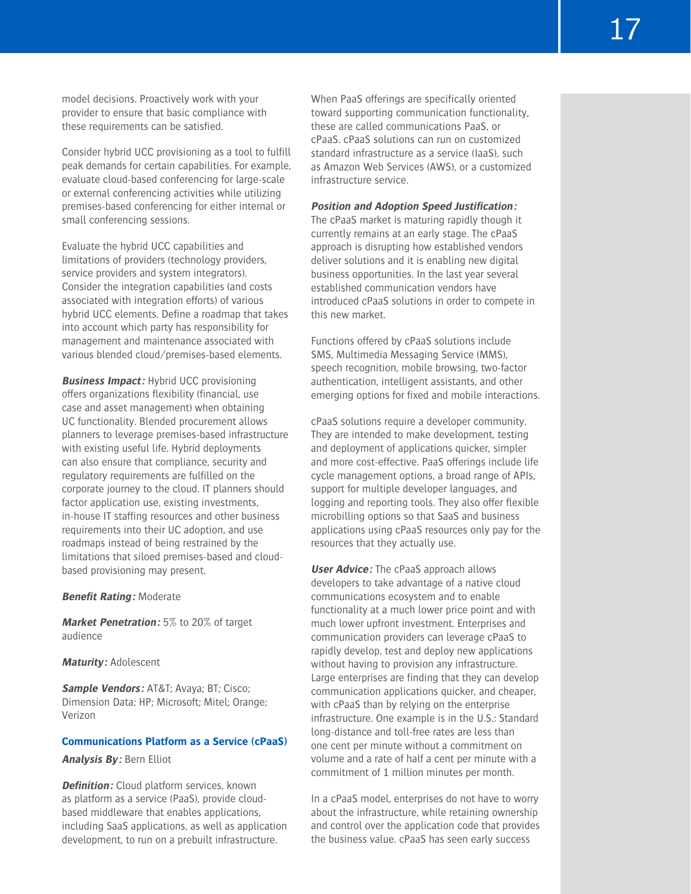model decisions. Proactively work with your provider to ensure that basic compliance with these requirements can be satisfied.

Consider hybrid UCC provisioning as a tool to fulfill peak demands for certain capabilities. For example, evaluate cloud-based conferencing for large-scale or external conferencing activities while utilizing premises-based conferencing for either internal or small conferencing sessions.

Evaluate the hybrid UCC capabilities and limitations of providers (technology providers, service providers and system integrators). Consider the integration capabilities (and costs associated with integration efforts) of various hybrid UCC elements. Define a roadmap that takes into account which party has responsibility for management and maintenance associated with various blended cloud/premises-based elements.

**Business Impact:** Hybrid UCC provisioning offers organizations flexibility (financial, use case and asset management) when obtaining UC functionality. Blended procurement allows planners to leverage premises-based infrastructure with existing useful life. Hybrid deployments can also ensure that compliance, security and regulatory requirements are fulfilled on the corporate journey to the cloud. IT planners should factor application use, existing investments, in-house IT staffing resources and other business requirements into their UC adoption, and use roadmaps instead of being restrained by the limitations that siloed premises-based and cloudbased provisioning may present.

**Benefit Rating:** Moderate

**Market Penetration:** 5% to 20% of target audience

**Maturity:** Adolescent

**Sample Vendors:** AT&T; Avaya; BT; Cisco; Dimension Data; HP; Microsoft; Mitel; Orange; Verizon

### **Communications Platform as a Service (cPaaS)**

**Analysis By:** Bern Elliot

**Definition:** Cloud platform services, known as platform as a service (PaaS), provide cloudbased middleware that enables applications, including SaaS applications, as well as application development, to run on a prebuilt infrastructure.

When PaaS offerings are specifically oriented toward supporting communication functionality, these are called communications PaaS, or cPaaS. cPaaS solutions can run on customized standard infrastructure as a service (IaaS), such as Amazon Web Services (AWS), or a customized infrastructure service.

# **Position and Adoption Speed Justification:**

The cPaaS market is maturing rapidly though it currently remains at an early stage. The cPaaS approach is disrupting how established vendors deliver solutions and it is enabling new digital business opportunities. In the last year several established communication vendors have introduced cPaaS solutions in order to compete in this new market.

Functions offered by cPaaS solutions include SMS, Multimedia Messaging Service (MMS), speech recognition, mobile browsing, two-factor authentication, intelligent assistants, and other emerging options for fixed and mobile interactions.

cPaaS solutions require a developer community. They are intended to make development, testing and deployment of applications quicker, simpler and more cost-effective. PaaS offerings include life cycle management options, a broad range of APIs, support for multiple developer languages, and logging and reporting tools. They also offer flexible microbilling options so that SaaS and business applications using cPaaS resources only pay for the resources that they actually use.

**User Advice:** The cPaaS approach allows developers to take advantage of a native cloud communications ecosystem and to enable functionality at a much lower price point and with much lower upfront investment. Enterprises and communication providers can leverage cPaaS to rapidly develop, test and deploy new applications without having to provision any infrastructure. Large enterprises are finding that they can develop communication applications quicker, and cheaper, with cPaaS than by relying on the enterprise infrastructure. One example is in the U.S.: Standard long-distance and toll-free rates are less than one cent per minute without a commitment on volume and a rate of half a cent per minute with a commitment of 1 million minutes per month.

In a cPaaS model, enterprises do not have to worry about the infrastructure, while retaining ownership and control over the application code that provides the business value. cPaaS has seen early success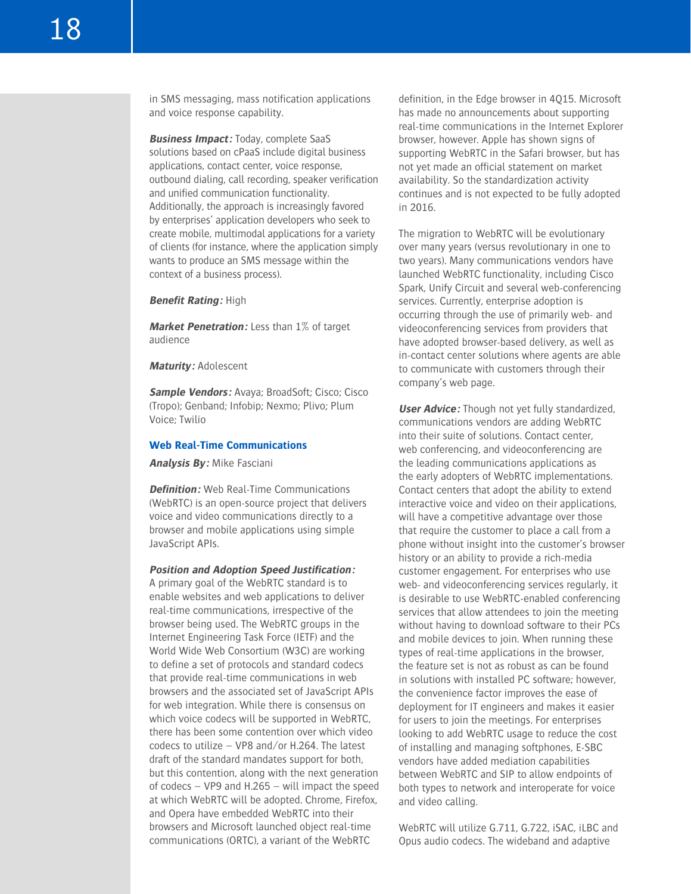in SMS messaging, mass notification applications and voice response capability.

**Business Impact:** Today, complete SaaS solutions based on cPaaS include digital business applications, contact center, voice response, outbound dialing, call recording, speaker verification and unified communication functionality. Additionally, the approach is increasingly favored by enterprises' application developers who seek to create mobile, multimodal applications for a variety of clients (for instance, where the application simply wants to produce an SMS message within the context of a business process).

**Benefit Rating:** High

**Market Penetration:** Less than 1% of target audience

**Maturity:** Adolescent

**Sample Vendors:** Avaya; BroadSoft; Cisco; Cisco (Tropo); Genband; Infobip; Nexmo; Plivo; Plum Voice; Twilio

#### **Web Real-Time Communications**

**Analysis By:** Mike Fasciani

**Definition:** Web Real-Time Communications (WebRTC) is an open-source project that delivers voice and video communications directly to a browser and mobile applications using simple JavaScript APIs.

#### **Position and Adoption Speed Justification:**

A primary goal of the WebRTC standard is to enable websites and web applications to deliver real-time communications, irrespective of the browser being used. The WebRTC groups in the Internet Engineering Task Force (IETF) and the World Wide Web Consortium (W3C) are working to define a set of protocols and standard codecs that provide real-time communications in web browsers and the associated set of JavaScript APIs for web integration. While there is consensus on which voice codecs will be supported in WebRTC, there has been some contention over which video codecs to utilize – VP8 and/or H.264. The latest draft of the standard mandates support for both, but this contention, along with the next generation of codecs – VP9 and H.265 – will impact the speed at which WebRTC will be adopted. Chrome, Firefox, and Opera have embedded WebRTC into their browsers and Microsoft launched object real-time communications (ORTC), a variant of the WebRTC

definition, in the Edge browser in 4Q15. Microsoft has made no announcements about supporting real-time communications in the Internet Explorer browser, however. Apple has shown signs of supporting WebRTC in the Safari browser, but has not yet made an official statement on market availability. So the standardization activity continues and is not expected to be fully adopted in 2016.

The migration to WebRTC will be evolutionary over many years (versus revolutionary in one to two years). Many communications vendors have launched WebRTC functionality, including Cisco Spark, Unify Circuit and several web-conferencing services. Currently, enterprise adoption is occurring through the use of primarily web- and videoconferencing services from providers that have adopted browser-based delivery, as well as in-contact center solutions where agents are able to communicate with customers through their company's web page.

**User Advice:** Though not yet fully standardized, communications vendors are adding WebRTC into their suite of solutions. Contact center, web conferencing, and videoconferencing are the leading communications applications as the early adopters of WebRTC implementations. Contact centers that adopt the ability to extend interactive voice and video on their applications, will have a competitive advantage over those that require the customer to place a call from a phone without insight into the customer's browser history or an ability to provide a rich-media customer engagement. For enterprises who use web- and videoconferencing services regularly, it is desirable to use WebRTC-enabled conferencing services that allow attendees to join the meeting without having to download software to their PCs and mobile devices to join. When running these types of real-time applications in the browser, the feature set is not as robust as can be found in solutions with installed PC software; however, the convenience factor improves the ease of deployment for IT engineers and makes it easier for users to join the meetings. For enterprises looking to add WebRTC usage to reduce the cost of installing and managing softphones, E-SBC vendors have added mediation capabilities between WebRTC and SIP to allow endpoints of both types to network and interoperate for voice and video calling.

WebRTC will utilize G.711, G.722, iSAC, iLBC and Opus audio codecs. The wideband and adaptive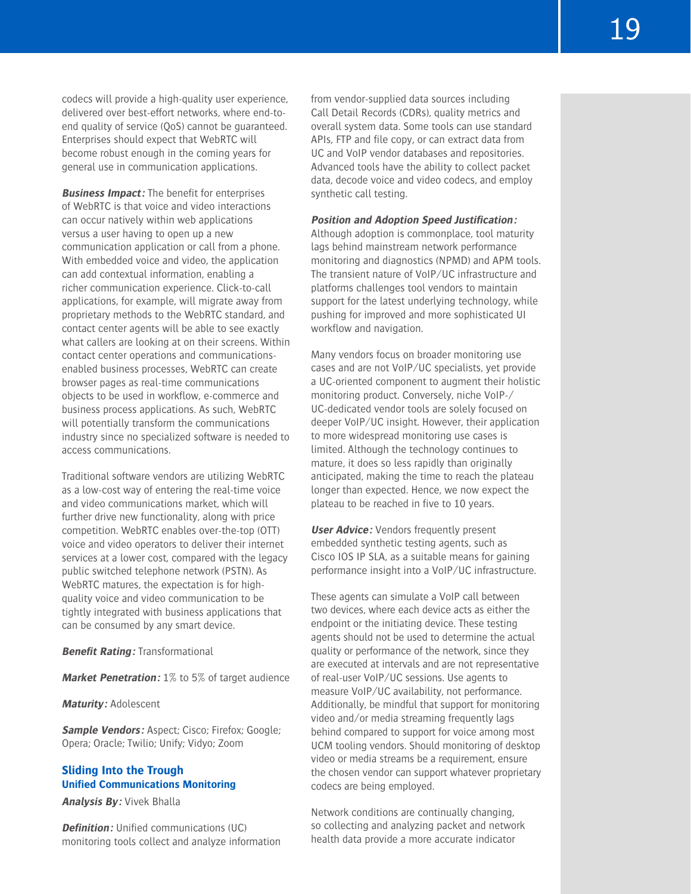codecs will provide a high-quality user experience, delivered over best-effort networks, where end-toend quality of service (QoS) cannot be guaranteed. Enterprises should expect that WebRTC will become robust enough in the coming years for general use in communication applications.

**Business Impact:** The benefit for enterprises of WebRTC is that voice and video interactions can occur natively within web applications versus a user having to open up a new communication application or call from a phone. With embedded voice and video, the application can add contextual information, enabling a richer communication experience. Click-to-call applications, for example, will migrate away from proprietary methods to the WebRTC standard, and contact center agents will be able to see exactly what callers are looking at on their screens. Within contact center operations and communicationsenabled business processes, WebRTC can create browser pages as real-time communications objects to be used in workflow, e-commerce and business process applications. As such, WebRTC will potentially transform the communications industry since no specialized software is needed to access communications.

Traditional software vendors are utilizing WebRTC as a low-cost way of entering the real-time voice and video communications market, which will further drive new functionality, along with price competition. WebRTC enables over-the-top (OTT) voice and video operators to deliver their internet services at a lower cost, compared with the legacy public switched telephone network (PSTN). As WebRTC matures, the expectation is for highquality voice and video communication to be tightly integrated with business applications that can be consumed by any smart device.

**Benefit Rating:** Transformational

**Market Penetration:** 1% to 5% of target audience

**Maturity:** Adolescent

**Sample Vendors:** Aspect; Cisco; Firefox; Google; Opera; Oracle; Twilio; Unify; Vidyo; Zoom

# **Sliding Into the Trough Unified Communications Monitoring**

**Analysis By:** Vivek Bhalla

**Definition:** Unified communications (UC) monitoring tools collect and analyze information from vendor-supplied data sources including Call Detail Records (CDRs), quality metrics and overall system data. Some tools can use standard APIs, FTP and file copy, or can extract data from UC and VoIP vendor databases and repositories. Advanced tools have the ability to collect packet data, decode voice and video codecs, and employ synthetic call testing.

#### **Position and Adoption Speed Justification:**

Although adoption is commonplace, tool maturity lags behind mainstream network performance monitoring and diagnostics (NPMD) and APM tools. The transient nature of VoIP/UC infrastructure and platforms challenges tool vendors to maintain support for the latest underlying technology, while pushing for improved and more sophisticated UI workflow and navigation.

Many vendors focus on broader monitoring use cases and are not VoIP/UC specialists, yet provide a UC-oriented component to augment their holistic monitoring product. Conversely, niche VoIP-/ UC-dedicated vendor tools are solely focused on deeper VoIP/UC insight. However, their application to more widespread monitoring use cases is limited. Although the technology continues to mature, it does so less rapidly than originally anticipated, making the time to reach the plateau longer than expected. Hence, we now expect the plateau to be reached in five to 10 years.

**User Advice:** Vendors frequently present embedded synthetic testing agents, such as Cisco IOS IP SLA, as a suitable means for gaining performance insight into a VoIP/UC infrastructure.

These agents can simulate a VoIP call between two devices, where each device acts as either the endpoint or the initiating device. These testing agents should not be used to determine the actual quality or performance of the network, since they are executed at intervals and are not representative of real-user VoIP/UC sessions. Use agents to measure VoIP/UC availability, not performance. Additionally, be mindful that support for monitoring video and/or media streaming frequently lags behind compared to support for voice among most UCM tooling vendors. Should monitoring of desktop video or media streams be a requirement, ensure the chosen vendor can support whatever proprietary codecs are being employed.

Network conditions are continually changing, so collecting and analyzing packet and network health data provide a more accurate indicator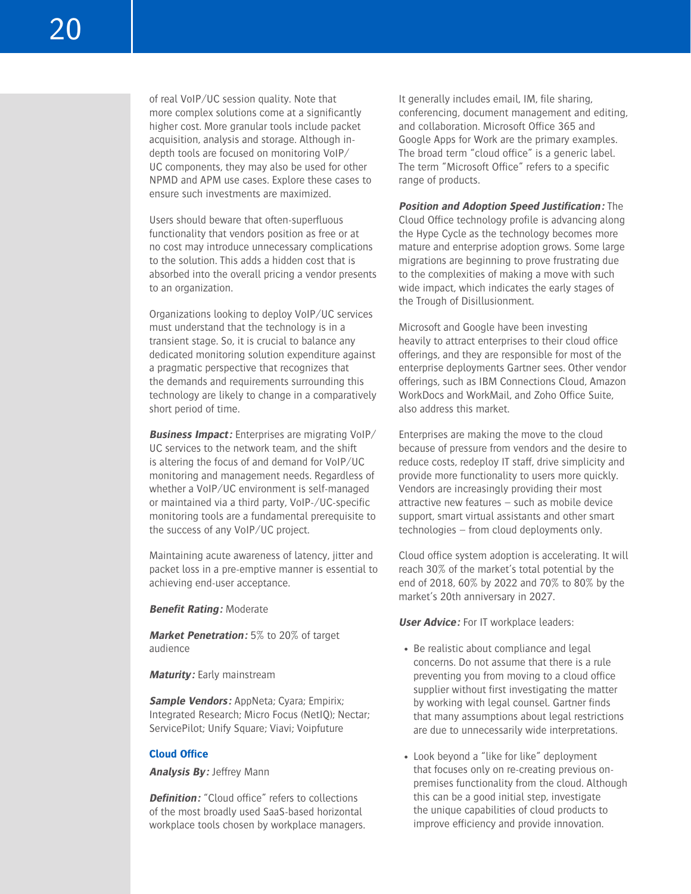of real VoIP/UC session quality. Note that more complex solutions come at a significantly higher cost. More granular tools include packet acquisition, analysis and storage. Although indepth tools are focused on monitoring VoIP/ UC components, they may also be used for other NPMD and APM use cases. Explore these cases to ensure such investments are maximized.

Users should beware that often-superfluous functionality that vendors position as free or at no cost may introduce unnecessary complications to the solution. This adds a hidden cost that is absorbed into the overall pricing a vendor presents to an organization.

Organizations looking to deploy VoIP/UC services must understand that the technology is in a transient stage. So, it is crucial to balance any dedicated monitoring solution expenditure against a pragmatic perspective that recognizes that the demands and requirements surrounding this technology are likely to change in a comparatively short period of time.

**Business Impact:** Enterprises are migrating VoIP/ UC services to the network team, and the shift is altering the focus of and demand for VoIP/UC monitoring and management needs. Regardless of whether a VoIP/UC environment is self-managed or maintained via a third party, VoIP-/UC-specific monitoring tools are a fundamental prerequisite to the success of any VoIP/UC project.

Maintaining acute awareness of latency, jitter and packet loss in a pre-emptive manner is essential to achieving end-user acceptance.

**Benefit Rating:** Moderate

**Market Penetration:** 5% to 20% of target audience

**Maturity:** Early mainstream

**Sample Vendors:** AppNeta; Cyara; Empirix; Integrated Research; Micro Focus (NetIQ); Nectar; ServicePilot; Unify Square; Viavi; Voipfuture

#### **Cloud Office**

**Analysis By:** Jeffrey Mann

**Definition:** "Cloud office" refers to collections of the most broadly used SaaS-based horizontal workplace tools chosen by workplace managers. It generally includes email, IM, file sharing, conferencing, document management and editing, and collaboration. Microsoft Office 365 and Google Apps for Work are the primary examples. The broad term "cloud office" is a generic label. The term "Microsoft Office" refers to a specific range of products.

**Position and Adoption Speed Justification:** The Cloud Office technology profile is advancing along the Hype Cycle as the technology becomes more mature and enterprise adoption grows. Some large migrations are beginning to prove frustrating due to the complexities of making a move with such wide impact, which indicates the early stages of the Trough of Disillusionment.

Microsoft and Google have been investing heavily to attract enterprises to their cloud office offerings, and they are responsible for most of the enterprise deployments Gartner sees. Other vendor offerings, such as IBM Connections Cloud, Amazon WorkDocs and WorkMail, and Zoho Office Suite, also address this market.

Enterprises are making the move to the cloud because of pressure from vendors and the desire to reduce costs, redeploy IT staff, drive simplicity and provide more functionality to users more quickly. Vendors are increasingly providing their most attractive new features – such as mobile device support, smart virtual assistants and other smart technologies – from cloud deployments only.

Cloud office system adoption is accelerating. It will reach 30% of the market's total potential by the end of 2018, 60% by 2022 and 70% to 80% by the market's 20th anniversary in 2027.

**User Advice:** For IT workplace leaders:

- Be realistic about compliance and legal concerns. Do not assume that there is a rule preventing you from moving to a cloud office supplier without first investigating the matter by working with legal counsel. Gartner finds that many assumptions about legal restrictions are due to unnecessarily wide interpretations.
- Look beyond a "like for like" deployment that focuses only on re-creating previous onpremises functionality from the cloud. Although this can be a good initial step, investigate the unique capabilities of cloud products to improve efficiency and provide innovation.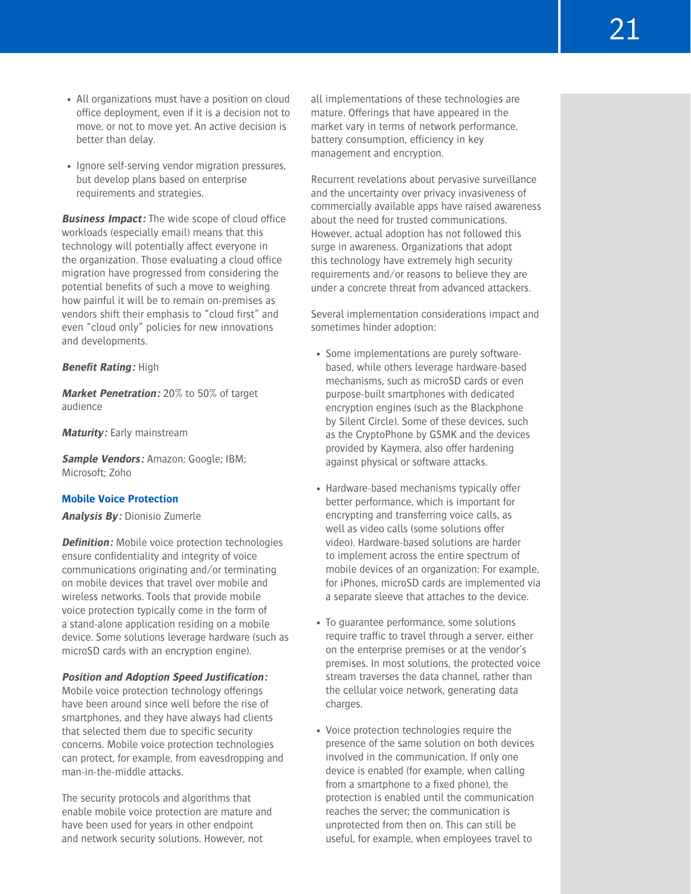21

- All organizations must have a position on cloud office deployment, even if it is a decision not to move, or not to move yet. An active decision is better than delay.
- Ignore self-serving vendor migration pressures, but develop plans based on enterprise requirements and strategies.

**Business Impact:** The wide scope of cloud office workloads (especially email) means that this technology will potentially affect everyone in the organization. Those evaluating a cloud office migration have progressed from considering the potential benefits of such a move to weighing how painful it will be to remain on-premises as vendors shift their emphasis to "cloud first" and even "cloud only" policies for new innovations and developments.

#### **Benefit Rating:** High

**Market Penetration:** 20% to 50% of target audience

**Maturity:** Early mainstream

**Sample Vendors:** Amazon; Google; IBM; Microsoft; Zoho

# **Mobile Voice Protection**

**Analysis By:** Dionisio Zumerle

**Definition:** Mobile voice protection technologies ensure confidentiality and integrity of voice communications originating and/or terminating on mobile devices that travel over mobile and wireless networks. Tools that provide mobile voice protection typically come in the form of a stand-alone application residing on a mobile device. Some solutions leverage hardware (such as microSD cards with an encryption engine).

# **Position and Adoption Speed Justification:**

Mobile voice protection technology offerings have been around since well before the rise of smartphones, and they have always had clients that selected them due to specific security concerns. Mobile voice protection technologies can protect, for example, from eavesdropping and man-in-the-middle attacks.

The security protocols and algorithms that enable mobile voice protection are mature and have been used for years in other endpoint and network security solutions. However, not

all implementations of these technologies are mature. Offerings that have appeared in the market vary in terms of network performance, battery consumption, efficiency in key management and encryption.

Recurrent revelations about pervasive surveillance and the uncertainty over privacy invasiveness of commercially available apps have raised awareness about the need for trusted communications. However, actual adoption has not followed this surge in awareness. Organizations that adopt this technology have extremely high security requirements and/or reasons to believe they are under a concrete threat from advanced attackers.

Several implementation considerations impact and sometimes hinder adoption:

- Some implementations are purely softwarebased, while others leverage hardware-based mechanisms, such as microSD cards or even purpose-built smartphones with dedicated encryption engines (such as the Blackphone by Silent Circle). Some of these devices, such as the CryptoPhone by GSMK and the devices provided by Kaymera, also offer hardening against physical or software attacks.
- Hardware-based mechanisms typically offer better performance, which is important for encrypting and transferring voice calls, as well as video calls (some solutions offer video). Hardware-based solutions are harder to implement across the entire spectrum of mobile devices of an organization: For example, for iPhones, microSD cards are implemented via a separate sleeve that attaches to the device.
- To guarantee performance, some solutions require traffic to travel through a server, either on the enterprise premises or at the vendor's premises. In most solutions, the protected voice stream traverses the data channel, rather than the cellular voice network, generating data charges.
- Voice protection technologies require the presence of the same solution on both devices involved in the communication. If only one device is enabled (for example, when calling from a smartphone to a fixed phone), the protection is enabled until the communication reaches the server; the communication is unprotected from then on. This can still be useful, for example, when employees travel to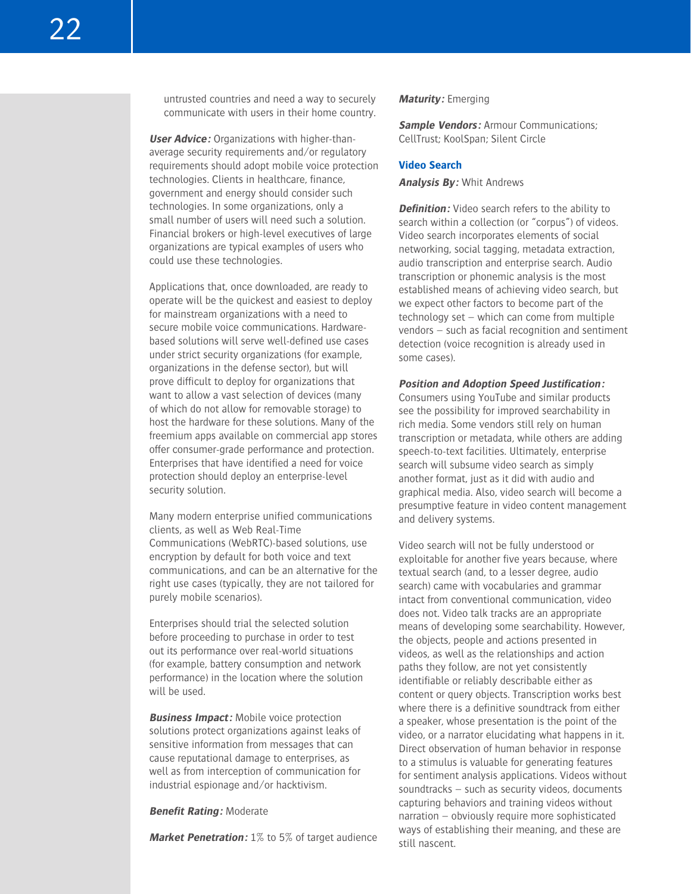untrusted countries and need a way to securely communicate with users in their home country.

**User Advice:** Organizations with higher-thanaverage security requirements and/or regulatory requirements should adopt mobile voice protection technologies. Clients in healthcare, finance, government and energy should consider such technologies. In some organizations, only a small number of users will need such a solution. Financial brokers or high-level executives of large organizations are typical examples of users who could use these technologies.

Applications that, once downloaded, are ready to operate will be the quickest and easiest to deploy for mainstream organizations with a need to secure mobile voice communications. Hardwarebased solutions will serve well-defined use cases under strict security organizations (for example, organizations in the defense sector), but will prove difficult to deploy for organizations that want to allow a vast selection of devices (many of which do not allow for removable storage) to host the hardware for these solutions. Many of the freemium apps available on commercial app stores offer consumer-grade performance and protection. Enterprises that have identified a need for voice protection should deploy an enterprise-level security solution.

Many modern enterprise unified communications clients, as well as Web Real-Time Communications (WebRTC)-based solutions, use encryption by default for both voice and text communications, and can be an alternative for the right use cases (typically, they are not tailored for purely mobile scenarios).

Enterprises should trial the selected solution before proceeding to purchase in order to test out its performance over real-world situations (for example, battery consumption and network performance) in the location where the solution will be used.

**Business Impact:** Mobile voice protection solutions protect organizations against leaks of sensitive information from messages that can cause reputational damage to enterprises, as well as from interception of communication for industrial espionage and/or hacktivism.

#### **Benefit Rating:** Moderate

**Market Penetration:** 1% to 5% of target audience

# **Maturity:** Emerging

**Sample Vendors:** Armour Communications; CellTrust; KoolSpan; Silent Circle

# **Video Search**

#### **Analysis By:** Whit Andrews

**Definition:** Video search refers to the ability to search within a collection (or "corpus") of videos. Video search incorporates elements of social networking, social tagging, metadata extraction, audio transcription and enterprise search. Audio transcription or phonemic analysis is the most established means of achieving video search, but we expect other factors to become part of the technology set – which can come from multiple vendors – such as facial recognition and sentiment detection (voice recognition is already used in some cases).

#### **Position and Adoption Speed Justification:**

Consumers using YouTube and similar products see the possibility for improved searchability in rich media. Some vendors still rely on human transcription or metadata, while others are adding speech-to-text facilities. Ultimately, enterprise search will subsume video search as simply another format, just as it did with audio and graphical media. Also, video search will become a presumptive feature in video content management and delivery systems.

Video search will not be fully understood or exploitable for another five years because, where textual search (and, to a lesser degree, audio search) came with vocabularies and grammar intact from conventional communication, video does not. Video talk tracks are an appropriate means of developing some searchability. However, the objects, people and actions presented in videos, as well as the relationships and action paths they follow, are not yet consistently identifiable or reliably describable either as content or query objects. Transcription works best where there is a definitive soundtrack from either a speaker, whose presentation is the point of the video, or a narrator elucidating what happens in it. Direct observation of human behavior in response to a stimulus is valuable for generating features for sentiment analysis applications. Videos without soundtracks – such as security videos, documents capturing behaviors and training videos without narration – obviously require more sophisticated ways of establishing their meaning, and these are still nascent.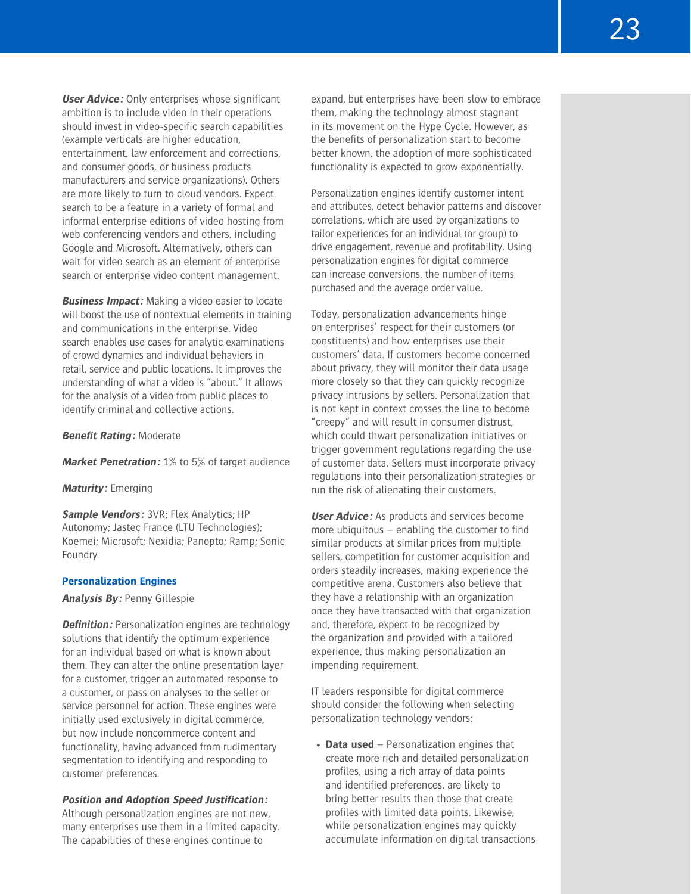**User Advice:** Only enterprises whose significant ambition is to include video in their operations should invest in video-specific search capabilities (example verticals are higher education, entertainment, law enforcement and corrections, and consumer goods, or business products manufacturers and service organizations). Others are more likely to turn to cloud vendors. Expect search to be a feature in a variety of formal and informal enterprise editions of video hosting from web conferencing vendors and others, including Google and Microsoft. Alternatively, others can wait for video search as an element of enterprise search or enterprise video content management.

**Business Impact:** Making a video easier to locate will boost the use of nontextual elements in training and communications in the enterprise. Video search enables use cases for analytic examinations of crowd dynamics and individual behaviors in retail, service and public locations. It improves the understanding of what a video is "about." It allows for the analysis of a video from public places to identify criminal and collective actions.

**Benefit Rating:** Moderate

**Market Penetration:** 1% to 5% of target audience

#### **Maturity:** Emerging

**Sample Vendors: 3VR; Flex Analytics; HP** Autonomy; Jastec France (LTU Technologies); Koemei; Microsoft; Nexidia; Panopto; Ramp; Sonic Foundry

#### **Personalization Engines**

**Analysis By:** Penny Gillespie

**Definition:** Personalization engines are technology solutions that identify the optimum experience for an individual based on what is known about them. They can alter the online presentation layer for a customer, trigger an automated response to a customer, or pass on analyses to the seller or service personnel for action. These engines were initially used exclusively in digital commerce, but now include noncommerce content and functionality, having advanced from rudimentary segmentation to identifying and responding to customer preferences.

### **Position and Adoption Speed Justification:**

Although personalization engines are not new, many enterprises use them in a limited capacity. The capabilities of these engines continue to

expand, but enterprises have been slow to embrace them, making the technology almost stagnant in its movement on the Hype Cycle. However, as the benefits of personalization start to become better known, the adoption of more sophisticated functionality is expected to grow exponentially.

Personalization engines identify customer intent and attributes, detect behavior patterns and discover correlations, which are used by organizations to tailor experiences for an individual (or group) to drive engagement, revenue and profitability. Using personalization engines for digital commerce can increase conversions, the number of items purchased and the average order value.

Today, personalization advancements hinge on enterprises' respect for their customers (or constituents) and how enterprises use their customers' data. If customers become concerned about privacy, they will monitor their data usage more closely so that they can quickly recognize privacy intrusions by sellers. Personalization that is not kept in context crosses the line to become "creepy" and will result in consumer distrust, which could thwart personalization initiatives or trigger government regulations regarding the use of customer data. Sellers must incorporate privacy regulations into their personalization strategies or run the risk of alienating their customers.

**User Advice:** As products and services become more ubiquitous – enabling the customer to find similar products at similar prices from multiple sellers, competition for customer acquisition and orders steadily increases, making experience the competitive arena. Customers also believe that they have a relationship with an organization once they have transacted with that organization and, therefore, expect to be recognized by the organization and provided with a tailored experience, thus making personalization an impending requirement.

IT leaders responsible for digital commerce should consider the following when selecting personalization technology vendors:

• **Data used** – Personalization engines that create more rich and detailed personalization profiles, using a rich array of data points and identified preferences, are likely to bring better results than those that create profiles with limited data points. Likewise, while personalization engines may quickly accumulate information on digital transactions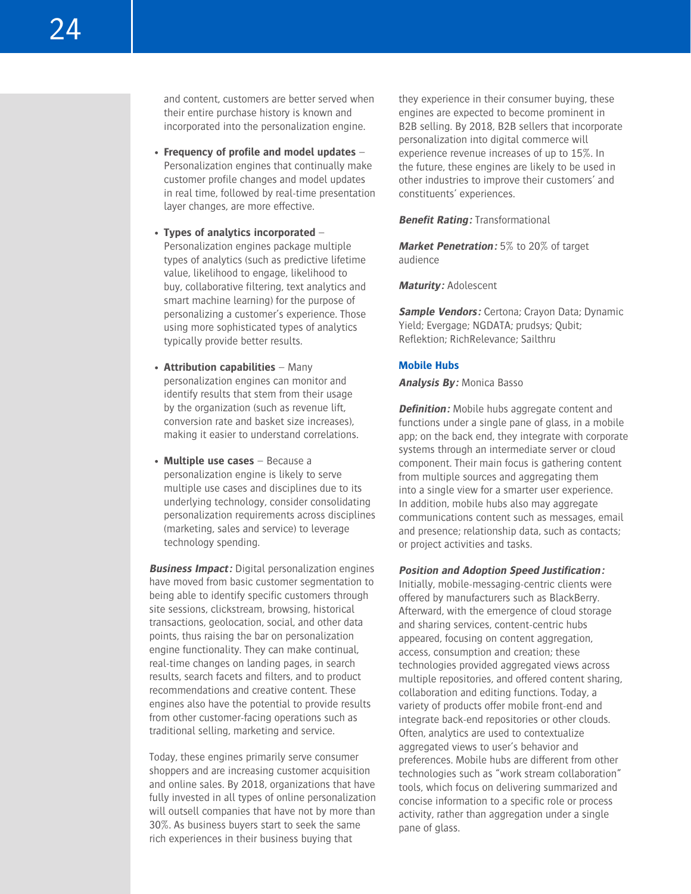and content, customers are better served when their entire purchase history is known and incorporated into the personalization engine.

- **Frequency of profile and model updates** Personalization engines that continually make customer profile changes and model updates in real time, followed by real-time presentation layer changes, are more effective.
- **Types of analytics incorporated** Personalization engines package multiple types of analytics (such as predictive lifetime value, likelihood to engage, likelihood to buy, collaborative filtering, text analytics and smart machine learning) for the purpose of personalizing a customer's experience. Those using more sophisticated types of analytics typically provide better results.
- **Attribution capabilities** Many personalization engines can monitor and identify results that stem from their usage by the organization (such as revenue lift, conversion rate and basket size increases), making it easier to understand correlations.
- **Multiple use cases** Because a personalization engine is likely to serve multiple use cases and disciplines due to its underlying technology, consider consolidating personalization requirements across disciplines (marketing, sales and service) to leverage technology spending.

**Business Impact:** Digital personalization engines have moved from basic customer segmentation to being able to identify specific customers through site sessions, clickstream, browsing, historical transactions, geolocation, social, and other data points, thus raising the bar on personalization engine functionality. They can make continual, real-time changes on landing pages, in search results, search facets and filters, and to product recommendations and creative content. These engines also have the potential to provide results from other customer-facing operations such as traditional selling, marketing and service.

Today, these engines primarily serve consumer shoppers and are increasing customer acquisition and online sales. By 2018, organizations that have fully invested in all types of online personalization will outsell companies that have not by more than 30%. As business buyers start to seek the same rich experiences in their business buying that

they experience in their consumer buying, these engines are expected to become prominent in B2B selling. By 2018, B2B sellers that incorporate personalization into digital commerce will experience revenue increases of up to 15%. In the future, these engines are likely to be used in other industries to improve their customers' and constituents' experiences.

**Benefit Rating:** Transformational

**Market Penetration:** 5% to 20% of target audience

**Maturity:** Adolescent

**Sample Vendors:** Certona; Crayon Data; Dynamic Yield; Evergage; NGDATA; prudsys; Qubit; Reflektion; RichRelevance; Sailthru

#### **Mobile Hubs**

**Analysis By:** Monica Basso

**Definition:** Mobile hubs aggregate content and functions under a single pane of glass, in a mobile app; on the back end, they integrate with corporate systems through an intermediate server or cloud component. Their main focus is gathering content from multiple sources and aggregating them into a single view for a smarter user experience. In addition, mobile hubs also may aggregate communications content such as messages, email and presence; relationship data, such as contacts; or project activities and tasks.

**Position and Adoption Speed Justification:**

Initially, mobile-messaging-centric clients were offered by manufacturers such as BlackBerry. Afterward, with the emergence of cloud storage and sharing services, content-centric hubs appeared, focusing on content aggregation, access, consumption and creation; these technologies provided aggregated views across multiple repositories, and offered content sharing, collaboration and editing functions. Today, a variety of products offer mobile front-end and integrate back-end repositories or other clouds. Often, analytics are used to contextualize aggregated views to user's behavior and preferences. Mobile hubs are different from other technologies such as "work stream collaboration" tools, which focus on delivering summarized and concise information to a specific role or process activity, rather than aggregation under a single pane of glass.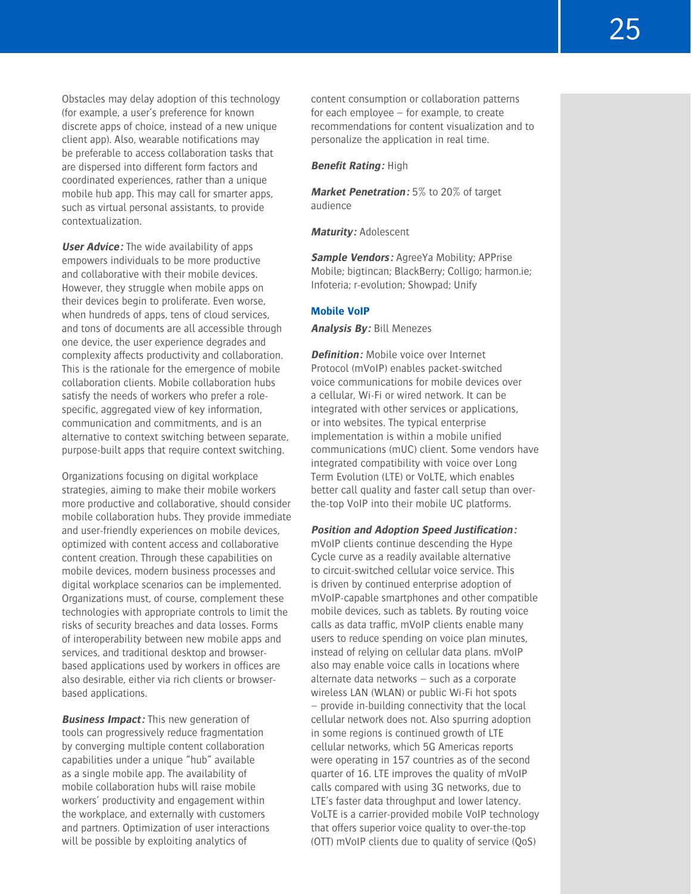Obstacles may delay adoption of this technology (for example, a user's preference for known discrete apps of choice, instead of a new unique client app). Also, wearable notifications may be preferable to access collaboration tasks that are dispersed into different form factors and coordinated experiences, rather than a unique mobile hub app. This may call for smarter apps, such as virtual personal assistants, to provide contextualization.

**User Advice:** The wide availability of apps empowers individuals to be more productive and collaborative with their mobile devices. However, they struggle when mobile apps on their devices begin to proliferate. Even worse, when hundreds of apps, tens of cloud services, and tons of documents are all accessible through one device, the user experience degrades and complexity affects productivity and collaboration. This is the rationale for the emergence of mobile collaboration clients. Mobile collaboration hubs satisfy the needs of workers who prefer a rolespecific, aggregated view of key information, communication and commitments, and is an alternative to context switching between separate, purpose-built apps that require context switching.

Organizations focusing on digital workplace strategies, aiming to make their mobile workers more productive and collaborative, should consider mobile collaboration hubs. They provide immediate and user-friendly experiences on mobile devices, optimized with content access and collaborative content creation. Through these capabilities on mobile devices, modern business processes and digital workplace scenarios can be implemented. Organizations must, of course, complement these technologies with appropriate controls to limit the risks of security breaches and data losses. Forms of interoperability between new mobile apps and services, and traditional desktop and browserbased applications used by workers in offices are also desirable, either via rich clients or browserbased applications.

**Business Impact:** This new generation of tools can progressively reduce fragmentation by converging multiple content collaboration capabilities under a unique "hub" available as a single mobile app. The availability of mobile collaboration hubs will raise mobile workers' productivity and engagement within the workplace, and externally with customers and partners. Optimization of user interactions will be possible by exploiting analytics of

content consumption or collaboration patterns for each employee – for example, to create recommendations for content visualization and to personalize the application in real time.

#### **Benefit Rating:** High

**Market Penetration:** 5% to 20% of target audience

**Maturity:** Adolescent

**Sample Vendors:** AgreeYa Mobility; APPrise Mobile; bigtincan; BlackBerry; Colligo; harmon.ie; Infoteria; r-evolution; Showpad; Unify

#### **Mobile VoIP**

**Analysis By:** Bill Menezes

**Definition:** Mobile voice over Internet Protocol (mVoIP) enables packet-switched voice communications for mobile devices over a cellular, Wi-Fi or wired network. It can be integrated with other services or applications, or into websites. The typical enterprise implementation is within a mobile unified communications (mUC) client. Some vendors have integrated compatibility with voice over Long Term Evolution (LTE) or VoLTE, which enables better call quality and faster call setup than overthe-top VoIP into their mobile UC platforms.

**Position and Adoption Speed Justification:**

mVoIP clients continue descending the Hype Cycle curve as a readily available alternative to circuit-switched cellular voice service. This is driven by continued enterprise adoption of mVoIP-capable smartphones and other compatible mobile devices, such as tablets. By routing voice calls as data traffic, mVoIP clients enable many users to reduce spending on voice plan minutes, instead of relying on cellular data plans. mVoIP also may enable voice calls in locations where alternate data networks – such as a corporate wireless LAN (WLAN) or public Wi-Fi hot spots – provide in-building connectivity that the local cellular network does not. Also spurring adoption in some regions is continued growth of LTE cellular networks, which 5G Americas reports were operating in 157 countries as of the second quarter of 16. LTE improves the quality of mVoIP calls compared with using 3G networks, due to LTE's faster data throughput and lower latency. VoLTE is a carrier-provided mobile VoIP technology that offers superior voice quality to over-the-top (OTT) mVoIP clients due to quality of service (QoS)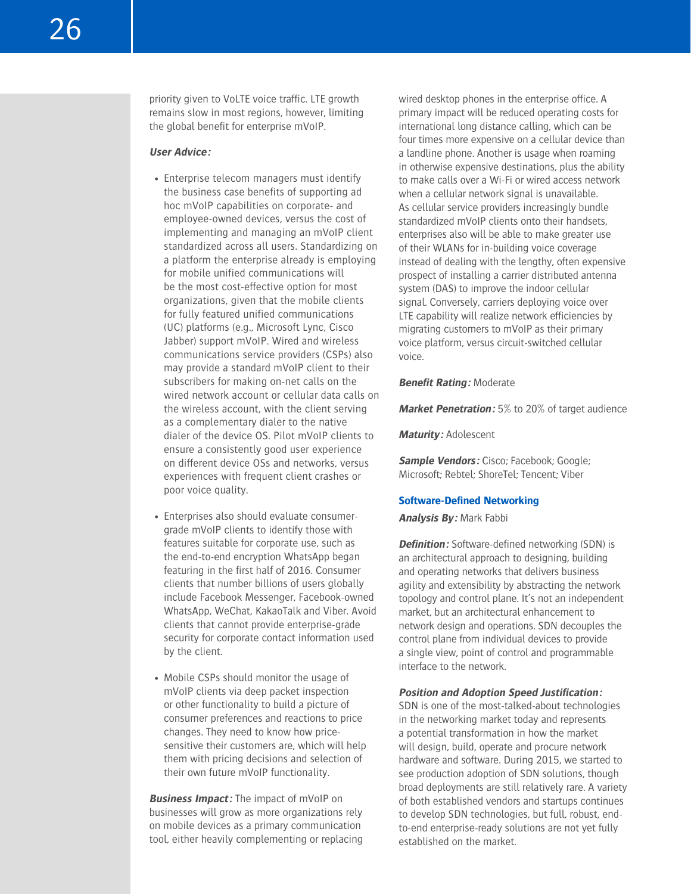priority given to VoLTE voice traffic. LTE growth remains slow in most regions, however, limiting the global benefit for enterprise mVoIP.

#### **User Advice:**

- Enterprise telecom managers must identify the business case benefits of supporting ad hoc mVoIP capabilities on corporate- and employee-owned devices, versus the cost of implementing and managing an mVoIP client standardized across all users. Standardizing on a platform the enterprise already is employing for mobile unified communications will be the most cost-effective option for most organizations, given that the mobile clients for fully featured unified communications (UC) platforms (e.g., Microsoft Lync, Cisco Jabber) support mVoIP. Wired and wireless communications service providers (CSPs) also may provide a standard mVoIP client to their subscribers for making on-net calls on the wired network account or cellular data calls on the wireless account, with the client serving as a complementary dialer to the native dialer of the device OS. Pilot mVoIP clients to ensure a consistently good user experience on different device OSs and networks, versus experiences with frequent client crashes or poor voice quality.
- Enterprises also should evaluate consumergrade mVoIP clients to identify those with features suitable for corporate use, such as the end-to-end encryption WhatsApp began featuring in the first half of 2016. Consumer clients that number billions of users globally include Facebook Messenger, Facebook-owned WhatsApp, WeChat, KakaoTalk and Viber. Avoid clients that cannot provide enterprise-grade security for corporate contact information used by the client.
- Mobile CSPs should monitor the usage of mVoIP clients via deep packet inspection or other functionality to build a picture of consumer preferences and reactions to price changes. They need to know how pricesensitive their customers are, which will help them with pricing decisions and selection of their own future mVoIP functionality.

**Business Impact:** The impact of mVoIP on businesses will grow as more organizations rely on mobile devices as a primary communication tool, either heavily complementing or replacing wired desktop phones in the enterprise office. A primary impact will be reduced operating costs for international long distance calling, which can be four times more expensive on a cellular device than a landline phone. Another is usage when roaming in otherwise expensive destinations, plus the ability to make calls over a Wi-Fi or wired access network when a cellular network signal is unavailable. As cellular service providers increasingly bundle standardized mVoIP clients onto their handsets, enterprises also will be able to make greater use of their WLANs for in-building voice coverage instead of dealing with the lengthy, often expensive prospect of installing a carrier distributed antenna system (DAS) to improve the indoor cellular signal. Conversely, carriers deploying voice over LTE capability will realize network efficiencies by migrating customers to mVoIP as their primary voice platform, versus circuit-switched cellular voice.

#### **Benefit Rating:** Moderate

**Market Penetration:** 5% to 20% of target audience

**Maturity:** Adolescent

**Sample Vendors:** Cisco; Facebook; Google; Microsoft; Rebtel; ShoreTel; Tencent; Viber

#### **Software-Defined Networking**

**Analysis By:** Mark Fabbi

**Definition:** Software-defined networking (SDN) is an architectural approach to designing, building and operating networks that delivers business agility and extensibility by abstracting the network topology and control plane. It's not an independent market, but an architectural enhancement to network design and operations. SDN decouples the control plane from individual devices to provide a single view, point of control and programmable interface to the network.

#### **Position and Adoption Speed Justification:**

SDN is one of the most-talked-about technologies in the networking market today and represents a potential transformation in how the market will design, build, operate and procure network hardware and software. During 2015, we started to see production adoption of SDN solutions, though broad deployments are still relatively rare. A variety of both established vendors and startups continues to develop SDN technologies, but full, robust, endto-end enterprise-ready solutions are not yet fully established on the market.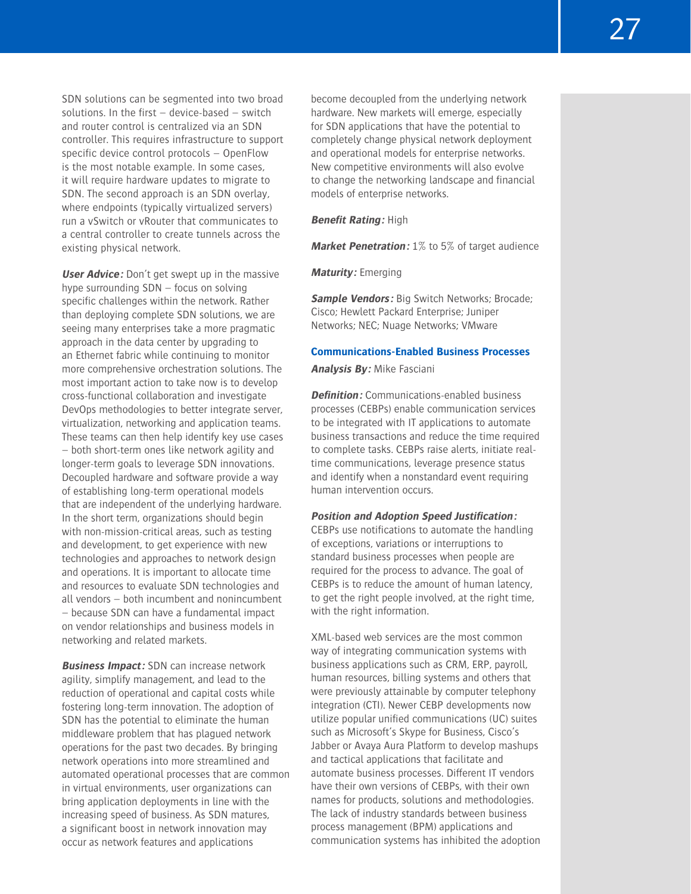27

SDN solutions can be segmented into two broad solutions. In the first – device-based – switch and router control is centralized via an SDN controller. This requires infrastructure to support specific device control protocols – OpenFlow is the most notable example. In some cases, it will require hardware updates to migrate to SDN. The second approach is an SDN overlay, where endpoints (typically virtualized servers) run a vSwitch or vRouter that communicates to a central controller to create tunnels across the existing physical network.

**User Advice:** Don't get swept up in the massive hype surrounding SDN – focus on solving specific challenges within the network. Rather than deploying complete SDN solutions, we are seeing many enterprises take a more pragmatic approach in the data center by upgrading to an Ethernet fabric while continuing to monitor more comprehensive orchestration solutions. The most important action to take now is to develop cross-functional collaboration and investigate DevOps methodologies to better integrate server, virtualization, networking and application teams. These teams can then help identify key use cases – both short-term ones like network agility and longer-term goals to leverage SDN innovations. Decoupled hardware and software provide a way of establishing long-term operational models that are independent of the underlying hardware. In the short term, organizations should begin with non-mission-critical areas, such as testing and development, to get experience with new technologies and approaches to network design and operations. It is important to allocate time and resources to evaluate SDN technologies and all vendors – both incumbent and nonincumbent – because SDN can have a fundamental impact on vendor relationships and business models in networking and related markets.

**Business Impact:** SDN can increase network agility, simplify management, and lead to the reduction of operational and capital costs while fostering long-term innovation. The adoption of SDN has the potential to eliminate the human middleware problem that has plagued network operations for the past two decades. By bringing network operations into more streamlined and automated operational processes that are common in virtual environments, user organizations can bring application deployments in line with the increasing speed of business. As SDN matures, a significant boost in network innovation may occur as network features and applications

become decoupled from the underlying network hardware. New markets will emerge, especially for SDN applications that have the potential to completely change physical network deployment and operational models for enterprise networks. New competitive environments will also evolve to change the networking landscape and financial models of enterprise networks.

#### **Benefit Rating:** High

**Market Penetration:** 1% to 5% of target audience

**Maturity:** Emerging

**Sample Vendors:** Big Switch Networks; Brocade; Cisco; Hewlett Packard Enterprise; Juniper Networks; NEC; Nuage Networks; VMware

#### **Communications-Enabled Business Processes**

**Analysis By:** Mike Fasciani

**Definition:** Communications-enabled business processes (CEBPs) enable communication services to be integrated with IT applications to automate business transactions and reduce the time required to complete tasks. CEBPs raise alerts, initiate realtime communications, leverage presence status and identify when a nonstandard event requiring human intervention occurs.

#### **Position and Adoption Speed Justification:**

CEBPs use notifications to automate the handling of exceptions, variations or interruptions to standard business processes when people are required for the process to advance. The goal of CEBPs is to reduce the amount of human latency, to get the right people involved, at the right time, with the right information.

XML-based web services are the most common way of integrating communication systems with business applications such as CRM, ERP, payroll, human resources, billing systems and others that were previously attainable by computer telephony integration (CTI). Newer CEBP developments now utilize popular unified communications (UC) suites such as Microsoft's Skype for Business, Cisco's Jabber or Avaya Aura Platform to develop mashups and tactical applications that facilitate and automate business processes. Different IT vendors have their own versions of CEBPs, with their own names for products, solutions and methodologies. The lack of industry standards between business process management (BPM) applications and communication systems has inhibited the adoption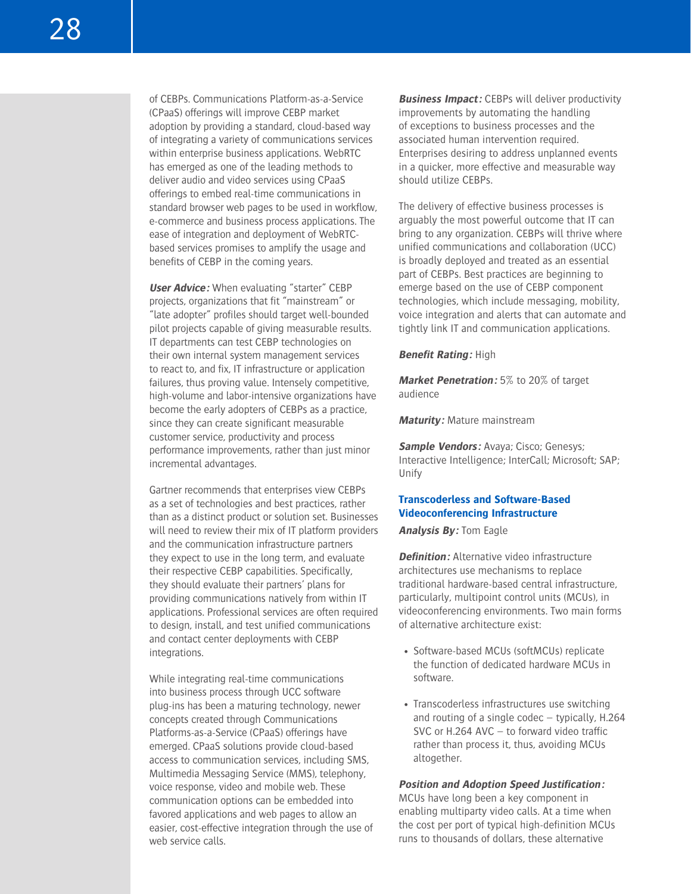of CEBPs. Communications Platform-as-a-Service (CPaaS) offerings will improve CEBP market adoption by providing a standard, cloud-based way of integrating a variety of communications services within enterprise business applications. WebRTC has emerged as one of the leading methods to deliver audio and video services using CPaaS offerings to embed real-time communications in standard browser web pages to be used in workflow, e-commerce and business process applications. The ease of integration and deployment of WebRTCbased services promises to amplify the usage and benefits of CEBP in the coming years.

**User Advice:** When evaluating "starter" CEBP projects, organizations that fit "mainstream" or "late adopter" profiles should target well-bounded pilot projects capable of giving measurable results. IT departments can test CEBP technologies on their own internal system management services to react to, and fix, IT infrastructure or application failures, thus proving value. Intensely competitive, high-volume and labor-intensive organizations have become the early adopters of CEBPs as a practice, since they can create significant measurable customer service, productivity and process performance improvements, rather than just minor incremental advantages.

Gartner recommends that enterprises view CEBPs as a set of technologies and best practices, rather than as a distinct product or solution set. Businesses will need to review their mix of IT platform providers and the communication infrastructure partners they expect to use in the long term, and evaluate their respective CEBP capabilities. Specifically, they should evaluate their partners' plans for providing communications natively from within IT applications. Professional services are often required to design, install, and test unified communications and contact center deployments with CEBP integrations.

While integrating real-time communications into business process through UCC software plug-ins has been a maturing technology, newer concepts created through Communications Platforms-as-a-Service (CPaaS) offerings have emerged. CPaaS solutions provide cloud-based access to communication services, including SMS, Multimedia Messaging Service (MMS), telephony, voice response, video and mobile web. These communication options can be embedded into favored applications and web pages to allow an easier, cost-effective integration through the use of web service calls.

**Business Impact:** CEBPs will deliver productivity improvements by automating the handling of exceptions to business processes and the associated human intervention required. Enterprises desiring to address unplanned events in a quicker, more effective and measurable way should utilize CEBPs.

The delivery of effective business processes is arguably the most powerful outcome that IT can bring to any organization. CEBPs will thrive where unified communications and collaboration (UCC) is broadly deployed and treated as an essential part of CEBPs. Best practices are beginning to emerge based on the use of CEBP component technologies, which include messaging, mobility, voice integration and alerts that can automate and tightly link IT and communication applications.

**Benefit Rating:** High

**Market Penetration:** 5% to 20% of target audience

**Maturity:** Mature mainstream

**Sample Vendors:** Avaya; Cisco; Genesys; Interactive Intelligence; InterCall; Microsoft; SAP; Unify

# **Transcoderless and Software-Based Videoconferencing Infrastructure**

**Analysis By:** Tom Eagle

**Definition:** Alternative video infrastructure architectures use mechanisms to replace traditional hardware-based central infrastructure, particularly, multipoint control units (MCUs), in videoconferencing environments. Two main forms of alternative architecture exist:

- Software-based MCUs (softMCUs) replicate the function of dedicated hardware MCUs in software.
- Transcoderless infrastructures use switching and routing of a single codec – typically, H.264 SVC or H.264 AVC – to forward video traffic rather than process it, thus, avoiding MCUs altogether.

**Position and Adoption Speed Justification:** MCUs have long been a key component in enabling multiparty video calls. At a time when the cost per port of typical high-definition MCUs runs to thousands of dollars, these alternative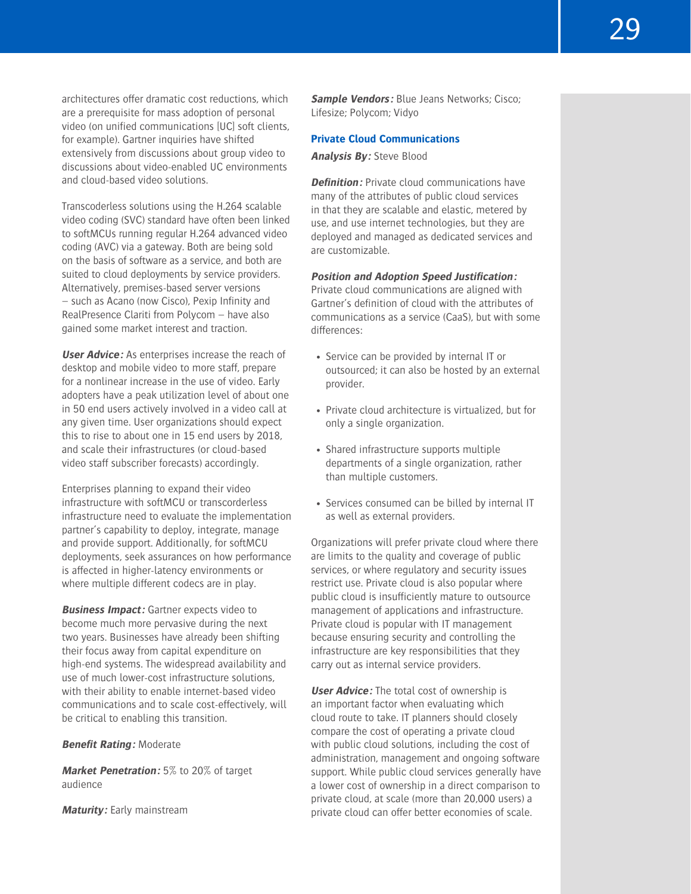architectures offer dramatic cost reductions, which are a prerequisite for mass adoption of personal video (on unified communications [UC] soft clients, for example). Gartner inquiries have shifted extensively from discussions about group video to discussions about video-enabled UC environments and cloud-based video solutions.

Transcoderless solutions using the H.264 scalable video coding (SVC) standard have often been linked to softMCUs running regular H.264 advanced video coding (AVC) via a gateway. Both are being sold on the basis of software as a service, and both are suited to cloud deployments by service providers. Alternatively, premises-based server versions – such as Acano (now Cisco), Pexip Infinity and RealPresence Clariti from Polycom – have also gained some market interest and traction.

**User Advice:** As enterprises increase the reach of desktop and mobile video to more staff, prepare for a nonlinear increase in the use of video. Early adopters have a peak utilization level of about one in 50 end users actively involved in a video call at any given time. User organizations should expect this to rise to about one in 15 end users by 2018, and scale their infrastructures (or cloud-based video staff subscriber forecasts) accordingly.

Enterprises planning to expand their video infrastructure with softMCU or transcorderless infrastructure need to evaluate the implementation partner's capability to deploy, integrate, manage and provide support. Additionally, for softMCU deployments, seek assurances on how performance is affected in higher-latency environments or where multiple different codecs are in play.

**Business Impact:** Gartner expects video to become much more pervasive during the next two years. Businesses have already been shifting their focus away from capital expenditure on high-end systems. The widespread availability and use of much lower-cost infrastructure solutions, with their ability to enable internet-based video communications and to scale cost-effectively, will be critical to enabling this transition.

**Benefit Rating:** Moderate

**Market Penetration:** 5% to 20% of target audience

**Maturity:** Early mainstream

**Sample Vendors:** Blue Jeans Networks; Cisco; Lifesize; Polycom; Vidyo

#### **Private Cloud Communications**

# **Analysis By:** Steve Blood

**Definition:** Private cloud communications have many of the attributes of public cloud services in that they are scalable and elastic, metered by use, and use internet technologies, but they are deployed and managed as dedicated services and are customizable.

#### **Position and Adoption Speed Justification:**

Private cloud communications are aligned with Gartner's definition of cloud with the attributes of communications as a service (CaaS), but with some differences:

- Service can be provided by internal IT or outsourced; it can also be hosted by an external provider.
- Private cloud architecture is virtualized, but for only a single organization.
- Shared infrastructure supports multiple departments of a single organization, rather than multiple customers.
- Services consumed can be billed by internal IT as well as external providers.

Organizations will prefer private cloud where there are limits to the quality and coverage of public services, or where regulatory and security issues restrict use. Private cloud is also popular where public cloud is insufficiently mature to outsource management of applications and infrastructure. Private cloud is popular with IT management because ensuring security and controlling the infrastructure are key responsibilities that they carry out as internal service providers.

**User Advice:** The total cost of ownership is an important factor when evaluating which cloud route to take. IT planners should closely compare the cost of operating a private cloud with public cloud solutions, including the cost of administration, management and ongoing software support. While public cloud services generally have a lower cost of ownership in a direct comparison to private cloud, at scale (more than 20,000 users) a private cloud can offer better economies of scale.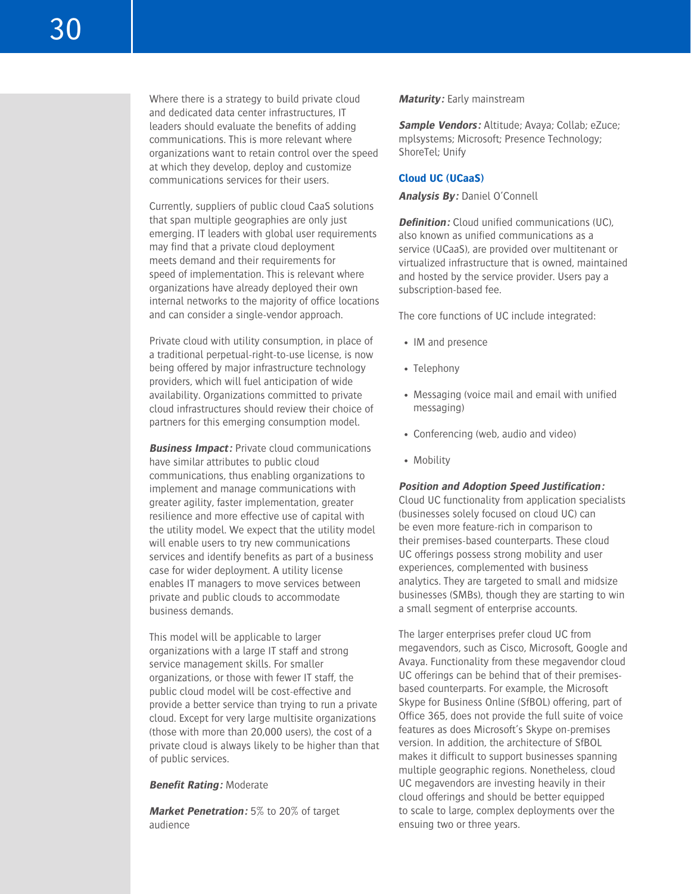Where there is a strategy to build private cloud and dedicated data center infrastructures, IT leaders should evaluate the benefits of adding communications. This is more relevant where organizations want to retain control over the speed at which they develop, deploy and customize communications services for their users.

Currently, suppliers of public cloud CaaS solutions that span multiple geographies are only just emerging. IT leaders with global user requirements may find that a private cloud deployment meets demand and their requirements for speed of implementation. This is relevant where organizations have already deployed their own internal networks to the majority of office locations and can consider a single-vendor approach.

Private cloud with utility consumption, in place of a traditional perpetual-right-to-use license, is now being offered by major infrastructure technology providers, which will fuel anticipation of wide availability. Organizations committed to private cloud infrastructures should review their choice of partners for this emerging consumption model.

**Business Impact:** Private cloud communications have similar attributes to public cloud communications, thus enabling organizations to implement and manage communications with greater agility, faster implementation, greater resilience and more effective use of capital with the utility model. We expect that the utility model will enable users to try new communications services and identify benefits as part of a business case for wider deployment. A utility license enables IT managers to move services between private and public clouds to accommodate business demands.

This model will be applicable to larger organizations with a large IT staff and strong service management skills. For smaller organizations, or those with fewer IT staff, the public cloud model will be cost-effective and provide a better service than trying to run a private cloud. Except for very large multisite organizations (those with more than 20,000 users), the cost of a private cloud is always likely to be higher than that of public services.

#### **Benefit Rating:** Moderate

**Market Penetration:** 5% to 20% of target audience

# **Maturity:** Early mainstream

**Sample Vendors:** Altitude; Avaya; Collab; eZuce; mplsystems; Microsoft; Presence Technology; ShoreTel; Unify

#### **Cloud UC (UCaaS)**

#### **Analysis By:** Daniel O'Connell

**Definition:** Cloud unified communications (UC), also known as unified communications as a service (UCaaS), are provided over multitenant or virtualized infrastructure that is owned, maintained and hosted by the service provider. Users pay a subscription-based fee.

The core functions of UC include integrated:

- IM and presence
- Telephony
- Messaging (voice mail and email with unified messaging)
- Conferencing (web, audio and video)
- Mobility

#### **Position and Adoption Speed Justification:**

Cloud UC functionality from application specialists (businesses solely focused on cloud UC) can be even more feature-rich in comparison to their premises-based counterparts. These cloud UC offerings possess strong mobility and user experiences, complemented with business analytics. They are targeted to small and midsize businesses (SMBs), though they are starting to win a small segment of enterprise accounts.

The larger enterprises prefer cloud UC from megavendors, such as Cisco, Microsoft, Google and Avaya. Functionality from these megavendor cloud UC offerings can be behind that of their premisesbased counterparts. For example, the Microsoft Skype for Business Online (SfBOL) offering, part of Office 365, does not provide the full suite of voice features as does Microsoft's Skype on-premises version. In addition, the architecture of SfBOL makes it difficult to support businesses spanning multiple geographic regions. Nonetheless, cloud UC megavendors are investing heavily in their cloud offerings and should be better equipped to scale to large, complex deployments over the ensuing two or three years.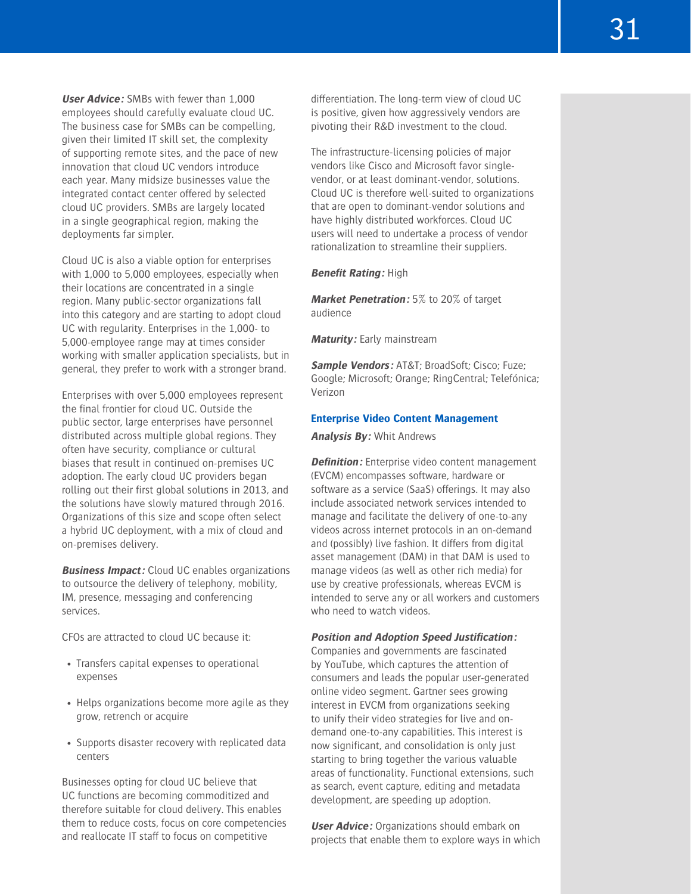**User Advice:** SMBs with fewer than 1,000 employees should carefully evaluate cloud UC. The business case for SMBs can be compelling, given their limited IT skill set, the complexity of supporting remote sites, and the pace of new innovation that cloud UC vendors introduce each year. Many midsize businesses value the integrated contact center offered by selected cloud UC providers. SMBs are largely located in a single geographical region, making the deployments far simpler.

Cloud UC is also a viable option for enterprises with 1,000 to 5,000 employees, especially when their locations are concentrated in a single region. Many public-sector organizations fall into this category and are starting to adopt cloud UC with regularity. Enterprises in the 1,000- to 5,000-employee range may at times consider working with smaller application specialists, but in general, they prefer to work with a stronger brand.

Enterprises with over 5,000 employees represent the final frontier for cloud UC. Outside the public sector, large enterprises have personnel distributed across multiple global regions. They often have security, compliance or cultural biases that result in continued on-premises UC adoption. The early cloud UC providers began rolling out their first global solutions in 2013, and the solutions have slowly matured through 2016. Organizations of this size and scope often select a hybrid UC deployment, with a mix of cloud and on-premises delivery.

**Business Impact:** Cloud UC enables organizations to outsource the delivery of telephony, mobility, IM, presence, messaging and conferencing services.

CFOs are attracted to cloud UC because it:

- Transfers capital expenses to operational expenses
- Helps organizations become more agile as they grow, retrench or acquire
- Supports disaster recovery with replicated data centers

Businesses opting for cloud UC believe that UC functions are becoming commoditized and therefore suitable for cloud delivery. This enables them to reduce costs, focus on core competencies and reallocate IT staff to focus on competitive

differentiation. The long-term view of cloud UC is positive, given how aggressively vendors are pivoting their R&D investment to the cloud.

The infrastructure-licensing policies of major vendors like Cisco and Microsoft favor singlevendor, or at least dominant-vendor, solutions. Cloud UC is therefore well-suited to organizations that are open to dominant-vendor solutions and have highly distributed workforces. Cloud UC users will need to undertake a process of vendor rationalization to streamline their suppliers.

#### **Benefit Rating:** High

**Market Penetration:** 5% to 20% of target audience

**Maturity:** Early mainstream

**Sample Vendors:** AT&T; BroadSoft; Cisco; Fuze; Google; Microsoft; Orange; RingCentral; Telefónica; Verizon

#### **Enterprise Video Content Management**

**Analysis By:** Whit Andrews

**Definition:** Enterprise video content management (EVCM) encompasses software, hardware or software as a service (SaaS) offerings. It may also include associated network services intended to manage and facilitate the delivery of one-to-any videos across internet protocols in an on-demand and (possibly) live fashion. It differs from digital asset management (DAM) in that DAM is used to manage videos (as well as other rich media) for use by creative professionals, whereas EVCM is intended to serve any or all workers and customers who need to watch videos.

#### **Position and Adoption Speed Justification:**

Companies and governments are fascinated by YouTube, which captures the attention of consumers and leads the popular user-generated online video segment. Gartner sees growing interest in EVCM from organizations seeking to unify their video strategies for live and ondemand one-to-any capabilities. This interest is now significant, and consolidation is only just starting to bring together the various valuable areas of functionality. Functional extensions, such as search, event capture, editing and metadata development, are speeding up adoption.

**User Advice:** Organizations should embark on projects that enable them to explore ways in which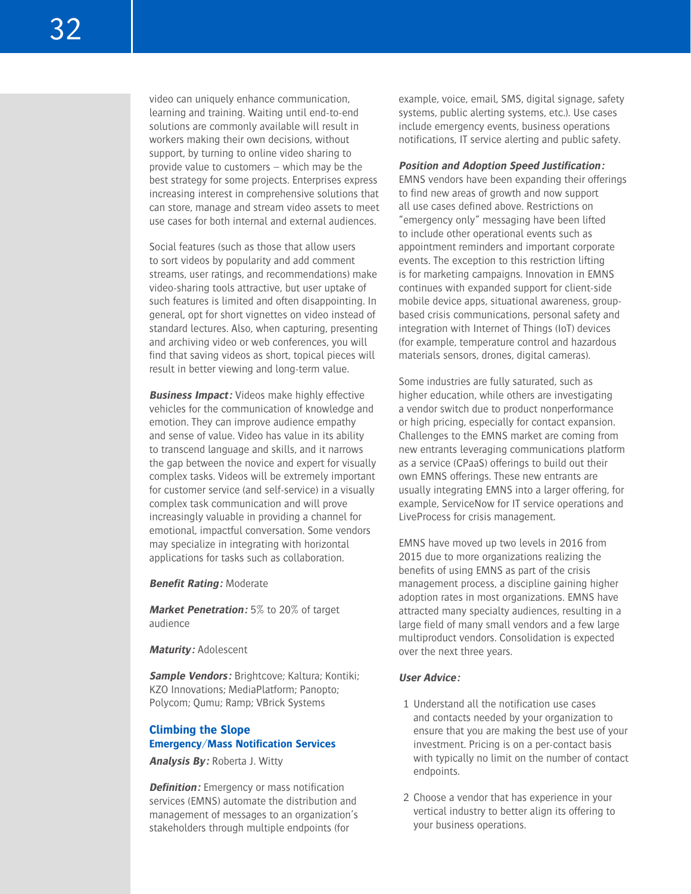video can uniquely enhance communication, learning and training. Waiting until end-to-end solutions are commonly available will result in workers making their own decisions, without support, by turning to online video sharing to provide value to customers – which may be the best strategy for some projects. Enterprises express increasing interest in comprehensive solutions that can store, manage and stream video assets to meet use cases for both internal and external audiences.

Social features (such as those that allow users to sort videos by popularity and add comment streams, user ratings, and recommendations) make video-sharing tools attractive, but user uptake of such features is limited and often disappointing. In general, opt for short vignettes on video instead of standard lectures. Also, when capturing, presenting and archiving video or web conferences, you will find that saving videos as short, topical pieces will result in better viewing and long-term value.

**Business Impact:** Videos make highly effective vehicles for the communication of knowledge and emotion. They can improve audience empathy and sense of value. Video has value in its ability to transcend language and skills, and it narrows the gap between the novice and expert for visually complex tasks. Videos will be extremely important for customer service (and self-service) in a visually complex task communication and will prove increasingly valuable in providing a channel for emotional, impactful conversation. Some vendors may specialize in integrating with horizontal applications for tasks such as collaboration.

**Benefit Rating:** Moderate

**Market Penetration:** 5% to 20% of target audience

**Maturity:** Adolescent

**Sample Vendors:** Brightcove; Kaltura; Kontiki; KZO Innovations; MediaPlatform; Panopto; Polycom; Qumu; Ramp; VBrick Systems

# **Climbing the Slope Emergency/Mass Notification Services**

**Analysis By:** Roberta J. Witty

**Definition:** Emergency or mass notification services (EMNS) automate the distribution and management of messages to an organization's stakeholders through multiple endpoints (for

example, voice, email, SMS, digital signage, safety systems, public alerting systems, etc.). Use cases include emergency events, business operations notifications, IT service alerting and public safety.

#### **Position and Adoption Speed Justification:**

EMNS vendors have been expanding their offerings to find new areas of growth and now support all use cases defined above. Restrictions on "emergency only" messaging have been lifted to include other operational events such as appointment reminders and important corporate events. The exception to this restriction lifting is for marketing campaigns. Innovation in EMNS continues with expanded support for client-side mobile device apps, situational awareness, groupbased crisis communications, personal safety and integration with Internet of Things (IoT) devices (for example, temperature control and hazardous materials sensors, drones, digital cameras).

Some industries are fully saturated, such as higher education, while others are investigating a vendor switch due to product nonperformance or high pricing, especially for contact expansion. Challenges to the EMNS market are coming from new entrants leveraging communications platform as a service (CPaaS) offerings to build out their own EMNS offerings. These new entrants are usually integrating EMNS into a larger offering, for example, ServiceNow for IT service operations and LiveProcess for crisis management.

EMNS have moved up two levels in 2016 from 2015 due to more organizations realizing the benefits of using EMNS as part of the crisis management process, a discipline gaining higher adoption rates in most organizations. EMNS have attracted many specialty audiences, resulting in a large field of many small vendors and a few large multiproduct vendors. Consolidation is expected over the next three years.

#### **User Advice:**

- 1 Understand all the notification use cases and contacts needed by your organization to ensure that you are making the best use of your investment. Pricing is on a per-contact basis with typically no limit on the number of contact endpoints.
- 2 Choose a vendor that has experience in your vertical industry to better align its offering to your business operations.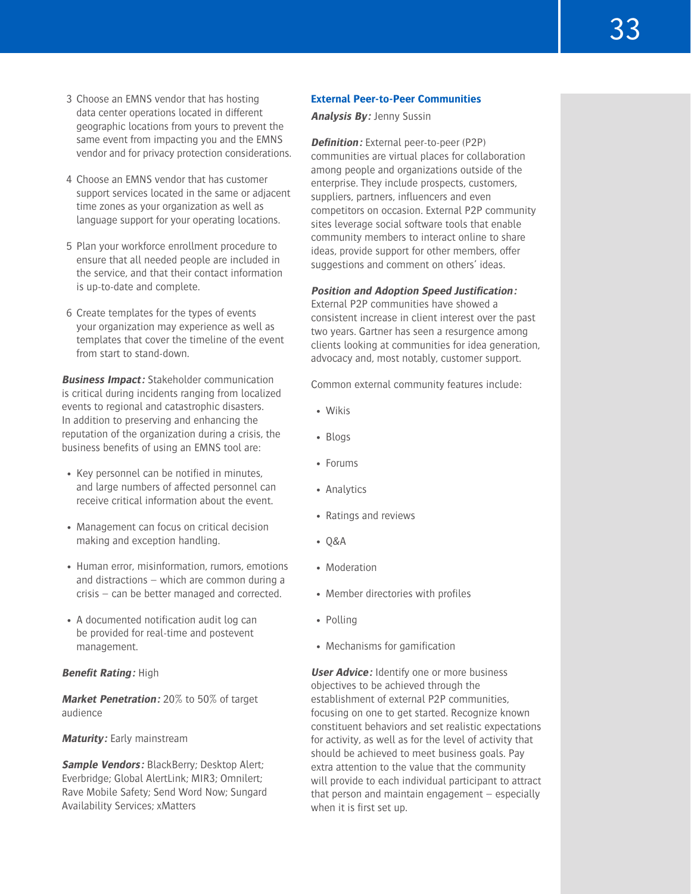- 3 Choose an EMNS vendor that has hosting data center operations located in different geographic locations from yours to prevent the same event from impacting you and the EMNS vendor and for privacy protection considerations.
- 4 Choose an EMNS vendor that has customer support services located in the same or adjacent time zones as your organization as well as language support for your operating locations.
- 5 Plan your workforce enrollment procedure to ensure that all needed people are included in the service, and that their contact information is up-to-date and complete.
- 6 Create templates for the types of events your organization may experience as well as templates that cover the timeline of the event from start to stand-down.

**Business Impact:** Stakeholder communication is critical during incidents ranging from localized events to regional and catastrophic disasters. In addition to preserving and enhancing the reputation of the organization during a crisis, the business benefits of using an EMNS tool are:

- Key personnel can be notified in minutes, and large numbers of affected personnel can receive critical information about the event.
- Management can focus on critical decision making and exception handling.
- Human error, misinformation, rumors, emotions and distractions – which are common during a crisis – can be better managed and corrected.
- A documented notification audit log can be provided for real-time and postevent management.

# **Benefit Rating:** High

**Market Penetration:** 20% to 50% of target audience

#### **Maturity:** Early mainstream

**Sample Vendors: BlackBerry; Desktop Alert;** Everbridge; Global AlertLink; MIR3; Omnilert; Rave Mobile Safety; Send Word Now; Sungard Availability Services; xMatters

#### **External Peer-to-Peer Communities**

**Analysis By:** Jenny Sussin

**Definition:** External peer-to-peer (P2P) communities are virtual places for collaboration among people and organizations outside of the enterprise. They include prospects, customers, suppliers, partners, influencers and even competitors on occasion. External P2P community sites leverage social software tools that enable community members to interact online to share ideas, provide support for other members, offer suggestions and comment on others' ideas.

# **Position and Adoption Speed Justification:**

External P2P communities have showed a consistent increase in client interest over the past two years. Gartner has seen a resurgence among clients looking at communities for idea generation, advocacy and, most notably, customer support.

Common external community features include:

- Wikis
- Blogs
- Forums
- Analytics
- Ratings and reviews
- Q&A
- Moderation
- Member directories with profiles
- Polling
- Mechanisms for gamification

**User Advice:** Identify one or more business objectives to be achieved through the establishment of external P2P communities, focusing on one to get started. Recognize known constituent behaviors and set realistic expectations for activity, as well as for the level of activity that should be achieved to meet business goals. Pay extra attention to the value that the community will provide to each individual participant to attract that person and maintain engagement – especially when it is first set up.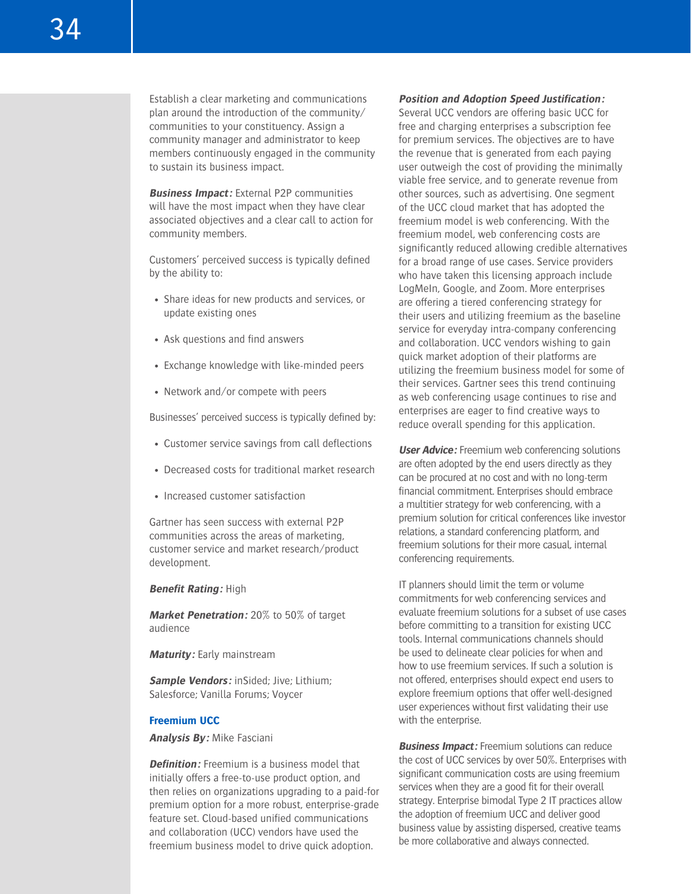Establish a clear marketing and communications plan around the introduction of the community/ communities to your constituency. Assign a community manager and administrator to keep members continuously engaged in the community to sustain its business impact.

**Business Impact:** External P2P communities will have the most impact when they have clear associated objectives and a clear call to action for community members.

Customers' perceived success is typically defined by the ability to:

- Share ideas for new products and services, or update existing ones
- Ask questions and find answers
- Exchange knowledge with like-minded peers
- Network and/or compete with peers

Businesses' perceived success is typically defined by:

- Customer service savings from call deflections
- Decreased costs for traditional market research
- Increased customer satisfaction

Gartner has seen success with external P2P communities across the areas of marketing, customer service and market research/product development.

#### **Benefit Rating:** High

**Market Penetration:** 20% to 50% of target audience

**Maturity:** Early mainstream

**Sample Vendors:** inSided; Jive; Lithium; Salesforce; Vanilla Forums; Voycer

#### **Freemium UCC**

**Analysis By:** Mike Fasciani

**Definition:** Freemium is a business model that initially offers a free-to-use product option, and then relies on organizations upgrading to a paid-for premium option for a more robust, enterprise-grade feature set. Cloud-based unified communications and collaboration (UCC) vendors have used the freemium business model to drive quick adoption.

# **Position and Adoption Speed Justification:**

Several UCC vendors are offering basic UCC for free and charging enterprises a subscription fee for premium services. The objectives are to have the revenue that is generated from each paying user outweigh the cost of providing the minimally viable free service, and to generate revenue from other sources, such as advertising. One segment of the UCC cloud market that has adopted the freemium model is web conferencing. With the freemium model, web conferencing costs are significantly reduced allowing credible alternatives for a broad range of use cases. Service providers who have taken this licensing approach include LogMeIn, Google, and Zoom. More enterprises are offering a tiered conferencing strategy for their users and utilizing freemium as the baseline service for everyday intra-company conferencing and collaboration. UCC vendors wishing to gain quick market adoption of their platforms are utilizing the freemium business model for some of their services. Gartner sees this trend continuing as web conferencing usage continues to rise and enterprises are eager to find creative ways to reduce overall spending for this application.

**User Advice:** Freemium web conferencing solutions are often adopted by the end users directly as they can be procured at no cost and with no long-term financial commitment. Enterprises should embrace a multitier strategy for web conferencing, with a premium solution for critical conferences like investor relations, a standard conferencing platform, and freemium solutions for their more casual, internal conferencing requirements.

IT planners should limit the term or volume commitments for web conferencing services and evaluate freemium solutions for a subset of use cases before committing to a transition for existing UCC tools. Internal communications channels should be used to delineate clear policies for when and how to use freemium services. If such a solution is not offered, enterprises should expect end users to explore freemium options that offer well-designed user experiences without first validating their use with the enterprise.

**Business Impact:** Freemium solutions can reduce the cost of UCC services by over 50%. Enterprises with significant communication costs are using freemium services when they are a good fit for their overall strategy. Enterprise bimodal Type 2 IT practices allow the adoption of freemium UCC and deliver good business value by assisting dispersed, creative teams be more collaborative and always connected.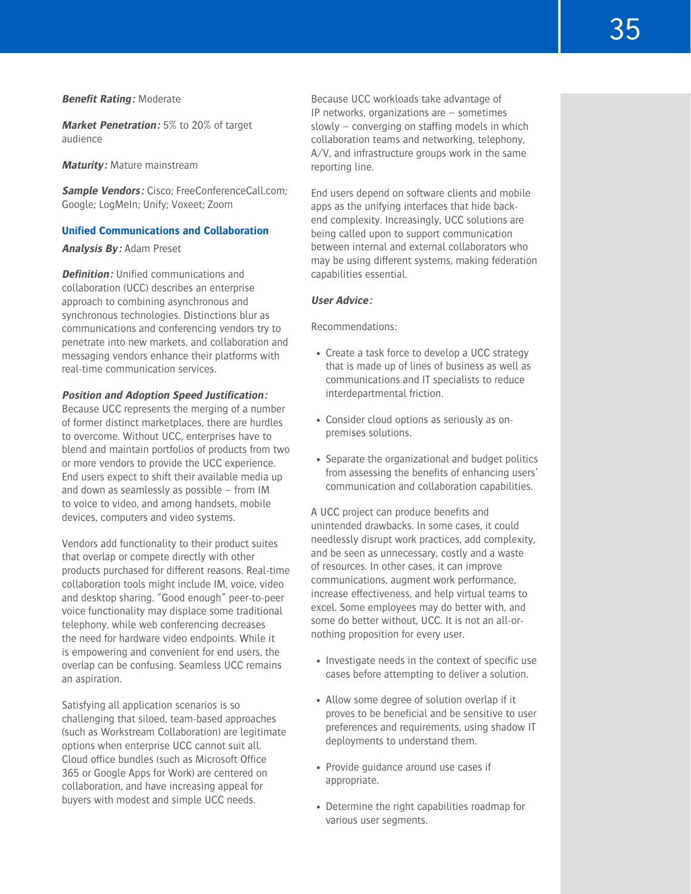#### **Benefit Rating:** Moderate

**Market Penetration:** 5% to 20% of target audience

**Maturity:** Mature mainstream

**Sample Vendors:** Cisco; FreeConferenceCall.com; Google; LogMeIn; Unify; Voxeet; Zoom

#### **Unified Communications and Collaboration**

# **Analysis By:** Adam Preset

**Definition:** Unified communications and collaboration (UCC) describes an enterprise approach to combining asynchronous and synchronous technologies. Distinctions blur as communications and conferencing vendors try to penetrate into new markets, and collaboration and messaging vendors enhance their platforms with real-time communication services.

#### **Position and Adoption Speed Justification:**

Because UCC represents the merging of a number of former distinct marketplaces, there are hurdles to overcome. Without UCC, enterprises have to blend and maintain portfolios of products from two or more vendors to provide the UCC experience. End users expect to shift their available media up and down as seamlessly as possible – from IM to voice to video, and among handsets, mobile devices, computers and video systems.

Vendors add functionality to their product suites that overlap or compete directly with other products purchased for different reasons. Real-time collaboration tools might include IM, voice, video and desktop sharing. "Good enough" peer-to-peer voice functionality may displace some traditional telephony, while web conferencing decreases the need for hardware video endpoints. While it is empowering and convenient for end users, the overlap can be confusing. Seamless UCC remains an aspiration.

Satisfying all application scenarios is so challenging that siloed, team-based approaches (such as Workstream Collaboration) are legitimate options when enterprise UCC cannot suit all. Cloud office bundles (such as Microsoft Office 365 or Google Apps for Work) are centered on collaboration, and have increasing appeal for buyers with modest and simple UCC needs.

Because UCC workloads take advantage of IP networks, organizations are – sometimes slowly – converging on staffing models in which collaboration teams and networking, telephony, A/V, and infrastructure groups work in the same reporting line.

End users depend on software clients and mobile apps as the unifying interfaces that hide backend complexity. Increasingly, UCC solutions are being called upon to support communication between internal and external collaborators who may be using different systems, making federation capabilities essential.

#### **User Advice:**

#### Recommendations:

- Create a task force to develop a UCC strategy that is made up of lines of business as well as communications and IT specialists to reduce interdepartmental friction.
- Consider cloud options as seriously as onpremises solutions.
- Separate the organizational and budget politics from assessing the benefits of enhancing users' communication and collaboration capabilities.

A UCC project can produce benefits and unintended drawbacks. In some cases, it could needlessly disrupt work practices, add complexity, and be seen as unnecessary, costly and a waste of resources. In other cases, it can improve communications, augment work performance, increase effectiveness, and help virtual teams to excel. Some employees may do better with, and some do better without, UCC. It is not an all-ornothing proposition for every user.

- Investigate needs in the context of specific use cases before attempting to deliver a solution.
- Allow some degree of solution overlap if it proves to be beneficial and be sensitive to user preferences and requirements, using shadow IT deployments to understand them.
- Provide guidance around use cases if appropriate.
- Determine the right capabilities roadmap for various user segments.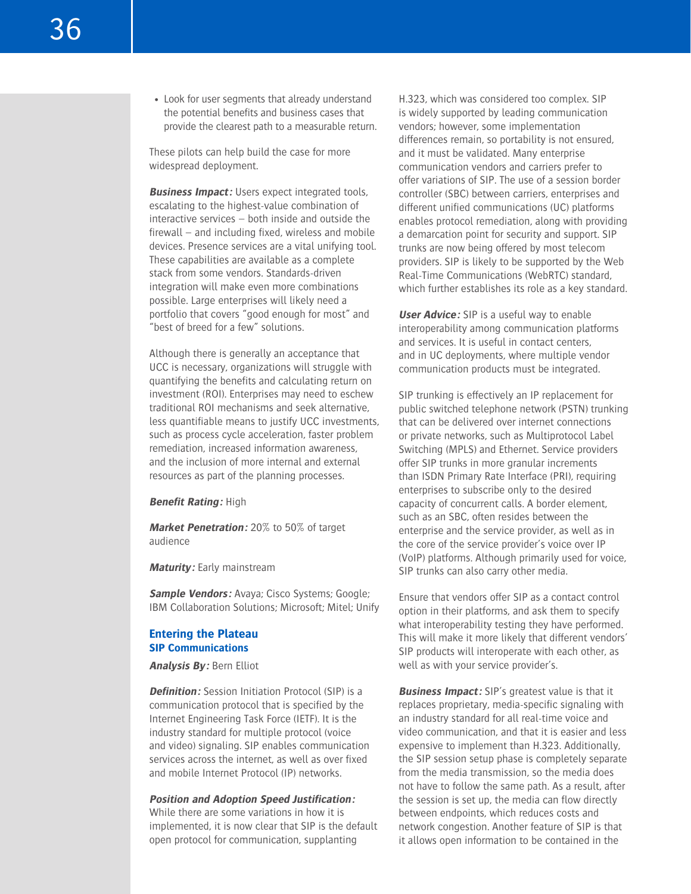• Look for user segments that already understand the potential benefits and business cases that provide the clearest path to a measurable return.

These pilots can help build the case for more widespread deployment.

**Business Impact:** Users expect integrated tools, escalating to the highest-value combination of interactive services – both inside and outside the firewall – and including fixed, wireless and mobile devices. Presence services are a vital unifying tool. These capabilities are available as a complete stack from some vendors. Standards-driven integration will make even more combinations possible. Large enterprises will likely need a portfolio that covers "good enough for most" and "best of breed for a few" solutions.

Although there is generally an acceptance that UCC is necessary, organizations will struggle with quantifying the benefits and calculating return on investment (ROI). Enterprises may need to eschew traditional ROI mechanisms and seek alternative, less quantifiable means to justify UCC investments, such as process cycle acceleration, faster problem remediation, increased information awareness, and the inclusion of more internal and external resources as part of the planning processes.

#### **Benefit Rating:** High

**Market Penetration:** 20% to 50% of target audience

**Maturity:** Early mainstream

**Sample Vendors:** Avaya; Cisco Systems; Google; IBM Collaboration Solutions; Microsoft; Mitel; Unify

#### **Entering the Plateau SIP Communications**

**Analysis By:** Bern Elliot

**Definition:** Session Initiation Protocol (SIP) is a communication protocol that is specified by the Internet Engineering Task Force (IETF). It is the industry standard for multiple protocol (voice and video) signaling. SIP enables communication services across the internet, as well as over fixed and mobile Internet Protocol (IP) networks.

#### **Position and Adoption Speed Justification:**

While there are some variations in how it is implemented, it is now clear that SIP is the default open protocol for communication, supplanting

H.323, which was considered too complex. SIP is widely supported by leading communication vendors; however, some implementation differences remain, so portability is not ensured, and it must be validated. Many enterprise communication vendors and carriers prefer to offer variations of SIP. The use of a session border controller (SBC) between carriers, enterprises and different unified communications (UC) platforms enables protocol remediation, along with providing a demarcation point for security and support. SIP trunks are now being offered by most telecom providers. SIP is likely to be supported by the Web Real-Time Communications (WebRTC) standard, which further establishes its role as a key standard.

**User Advice:** SIP is a useful way to enable interoperability among communication platforms and services. It is useful in contact centers, and in UC deployments, where multiple vendor communication products must be integrated.

SIP trunking is effectively an IP replacement for public switched telephone network (PSTN) trunking that can be delivered over internet connections or private networks, such as Multiprotocol Label Switching (MPLS) and Ethernet. Service providers offer SIP trunks in more granular increments than ISDN Primary Rate Interface (PRI), requiring enterprises to subscribe only to the desired capacity of concurrent calls. A border element, such as an SBC, often resides between the enterprise and the service provider, as well as in the core of the service provider's voice over IP (VoIP) platforms. Although primarily used for voice, SIP trunks can also carry other media.

Ensure that vendors offer SIP as a contact control option in their platforms, and ask them to specify what interoperability testing they have performed. This will make it more likely that different vendors' SIP products will interoperate with each other, as well as with your service provider's.

**Business Impact:** SIP's greatest value is that it replaces proprietary, media-specific signaling with an industry standard for all real-time voice and video communication, and that it is easier and less expensive to implement than H.323. Additionally, the SIP session setup phase is completely separate from the media transmission, so the media does not have to follow the same path. As a result, after the session is set up, the media can flow directly between endpoints, which reduces costs and network congestion. Another feature of SIP is that it allows open information to be contained in the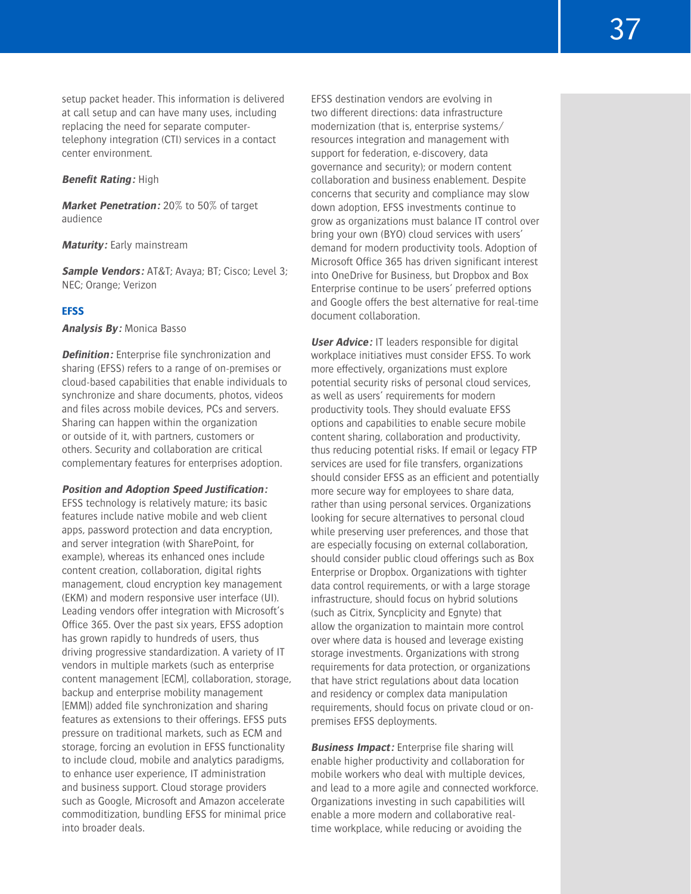#### **Benefit Rating:** High

center environment.

**Market Penetration:** 20% to 50% of target audience

#### **Maturity:** Early mainstream

**Sample Vendors:** AT&T; Avaya; BT; Cisco; Level 3; NEC; Orange; Verizon

# **EFSS**

**Analysis By:** Monica Basso

**Definition:** Enterprise file synchronization and sharing (EFSS) refers to a range of on-premises or cloud-based capabilities that enable individuals to synchronize and share documents, photos, videos and files across mobile devices, PCs and servers. Sharing can happen within the organization or outside of it, with partners, customers or others. Security and collaboration are critical complementary features for enterprises adoption.

#### **Position and Adoption Speed Justification:**

EFSS technology is relatively mature; its basic features include native mobile and web client apps, password protection and data encryption, and server integration (with SharePoint, for example), whereas its enhanced ones include content creation, collaboration, digital rights management, cloud encryption key management (EKM) and modern responsive user interface (UI). Leading vendors offer integration with Microsoft's Office 365. Over the past six years, EFSS adoption has grown rapidly to hundreds of users, thus driving progressive standardization. A variety of IT vendors in multiple markets (such as enterprise content management [ECM], collaboration, storage, backup and enterprise mobility management [EMM]) added file synchronization and sharing features as extensions to their offerings. EFSS puts pressure on traditional markets, such as ECM and storage, forcing an evolution in EFSS functionality to include cloud, mobile and analytics paradigms, to enhance user experience, IT administration and business support. Cloud storage providers such as Google, Microsoft and Amazon accelerate commoditization, bundling EFSS for minimal price into broader deals.

EFSS destination vendors are evolving in two different directions: data infrastructure modernization (that is, enterprise systems/ resources integration and management with support for federation, e-discovery, data governance and security); or modern content collaboration and business enablement. Despite concerns that security and compliance may slow down adoption, EFSS investments continue to grow as organizations must balance IT control over bring your own (BYO) cloud services with users' demand for modern productivity tools. Adoption of Microsoft Office 365 has driven significant interest into OneDrive for Business, but Dropbox and Box Enterprise continue to be users' preferred options and Google offers the best alternative for real-time document collaboration.

**User Advice:** IT leaders responsible for digital workplace initiatives must consider EFSS. To work more effectively, organizations must explore potential security risks of personal cloud services, as well as users' requirements for modern productivity tools. They should evaluate EFSS options and capabilities to enable secure mobile content sharing, collaboration and productivity, thus reducing potential risks. If email or legacy FTP services are used for file transfers, organizations should consider EFSS as an efficient and potentially more secure way for employees to share data, rather than using personal services. Organizations looking for secure alternatives to personal cloud while preserving user preferences, and those that are especially focusing on external collaboration, should consider public cloud offerings such as Box Enterprise or Dropbox. Organizations with tighter data control requirements, or with a large storage infrastructure, should focus on hybrid solutions (such as Citrix, Syncplicity and Egnyte) that allow the organization to maintain more control over where data is housed and leverage existing storage investments. Organizations with strong requirements for data protection, or organizations that have strict regulations about data location and residency or complex data manipulation requirements, should focus on private cloud or onpremises EFSS deployments.

**Business Impact:** Enterprise file sharing will enable higher productivity and collaboration for mobile workers who deal with multiple devices, and lead to a more agile and connected workforce. Organizations investing in such capabilities will enable a more modern and collaborative realtime workplace, while reducing or avoiding the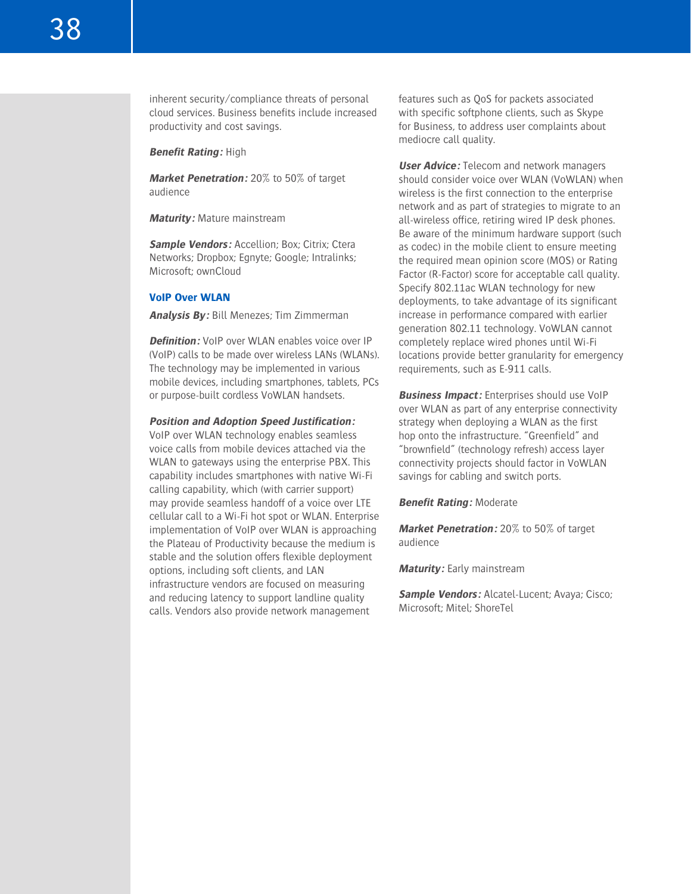inherent security/compliance threats of personal cloud services. Business benefits include increased productivity and cost savings.

**Benefit Rating:** High

**Market Penetration:** 20% to 50% of target audience

**Maturity:** Mature mainstream

**Sample Vendors:** Accellion: Box: Citrix: Ctera Networks; Dropbox; Egnyte; Google; Intralinks; Microsoft; ownCloud

#### **VoIP Over WLAN**

**Analysis By:** Bill Menezes; Tim Zimmerman

**Definition:** VoIP over WLAN enables voice over IP (VoIP) calls to be made over wireless LANs (WLANs). The technology may be implemented in various mobile devices, including smartphones, tablets, PCs or purpose-built cordless VoWLAN handsets.

#### **Position and Adoption Speed Justification:**

VoIP over WLAN technology enables seamless voice calls from mobile devices attached via the WLAN to gateways using the enterprise PBX. This capability includes smartphones with native Wi-Fi calling capability, which (with carrier support) may provide seamless handoff of a voice over LTE cellular call to a Wi-Fi hot spot or WLAN. Enterprise implementation of VoIP over WLAN is approaching the Plateau of Productivity because the medium is stable and the solution offers flexible deployment options, including soft clients, and LAN infrastructure vendors are focused on measuring and reducing latency to support landline quality calls. Vendors also provide network management

features such as QoS for packets associated with specific softphone clients, such as Skype for Business, to address user complaints about mediocre call quality.

**User Advice:** Telecom and network managers should consider voice over WLAN (VoWLAN) when wireless is the first connection to the enterprise network and as part of strategies to migrate to an all-wireless office, retiring wired IP desk phones. Be aware of the minimum hardware support (such as codec) in the mobile client to ensure meeting the required mean opinion score (MOS) or Rating Factor (R-Factor) score for acceptable call quality. Specify 802.11ac WLAN technology for new deployments, to take advantage of its significant increase in performance compared with earlier generation 802.11 technology. VoWLAN cannot completely replace wired phones until Wi-Fi locations provide better granularity for emergency requirements, such as E-911 calls.

**Business Impact:** Enterprises should use VoIP over WLAN as part of any enterprise connectivity strategy when deploying a WLAN as the first hop onto the infrastructure. "Greenfield" and "brownfield" (technology refresh) access layer connectivity projects should factor in VoWLAN savings for cabling and switch ports.

**Benefit Rating:** Moderate

**Market Penetration:** 20% to 50% of target audience

**Maturity:** Early mainstream

**Sample Vendors:** Alcatel-Lucent; Avaya; Cisco; Microsoft; Mitel; ShoreTel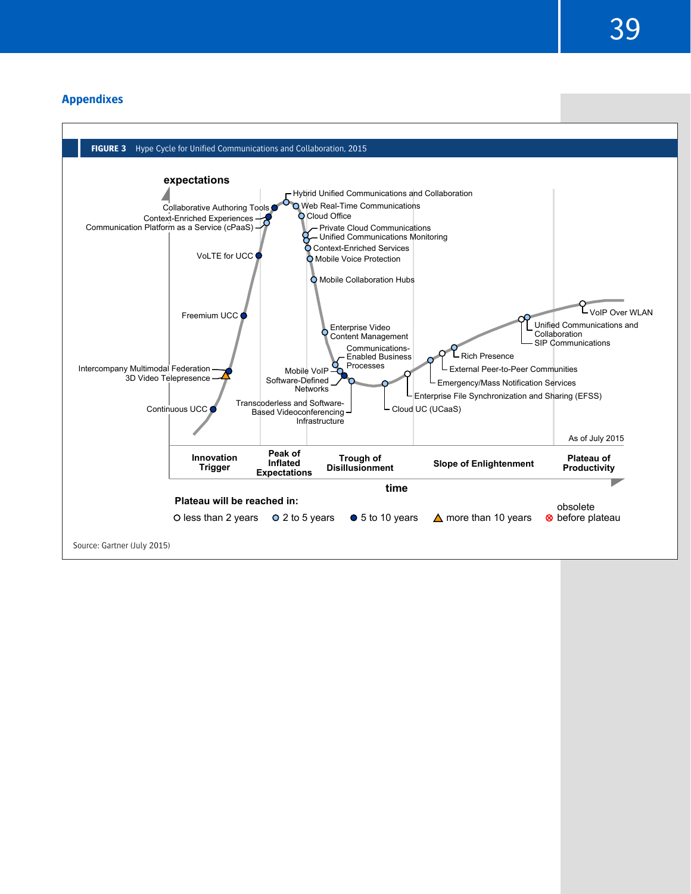39

# **Appendixes**

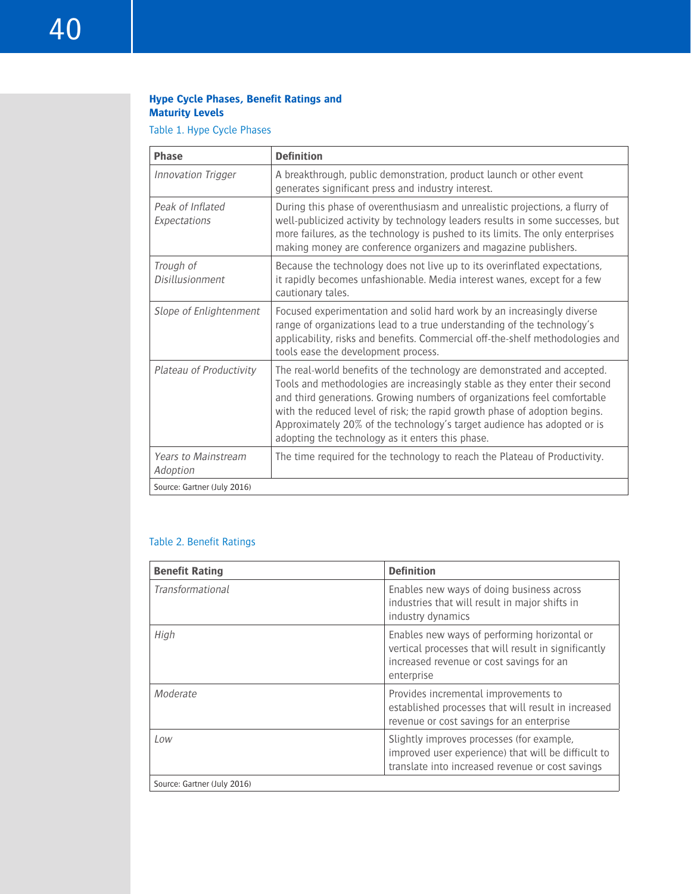# **Hype Cycle Phases, Benefit Ratings and Maturity Levels**

# Table 1. Hype Cycle Phases

| <b>Phase</b>                           | <b>Definition</b>                                                                                                                                                                                                                                                                                                                                                                                                                               |
|----------------------------------------|-------------------------------------------------------------------------------------------------------------------------------------------------------------------------------------------------------------------------------------------------------------------------------------------------------------------------------------------------------------------------------------------------------------------------------------------------|
| <b>Innovation Trigger</b>              | A breakthrough, public demonstration, product launch or other event<br>generates significant press and industry interest.                                                                                                                                                                                                                                                                                                                       |
| Peak of Inflated<br>Expectations       | During this phase of overenthusiasm and unrealistic projections, a flurry of<br>well-publicized activity by technology leaders results in some successes, but<br>more failures, as the technology is pushed to its limits. The only enterprises<br>making money are conference organizers and magazine publishers.                                                                                                                              |
| Trough of<br>Disillusionment           | Because the technology does not live up to its overinflated expectations,<br>it rapidly becomes unfashionable. Media interest wanes, except for a few<br>cautionary tales.                                                                                                                                                                                                                                                                      |
| Slope of Enlightenment                 | Focused experimentation and solid hard work by an increasingly diverse<br>range of organizations lead to a true understanding of the technology's<br>applicability, risks and benefits. Commercial off-the-shelf methodologies and<br>tools ease the development process.                                                                                                                                                                       |
| Plateau of Productivity                | The real-world benefits of the technology are demonstrated and accepted.<br>Tools and methodologies are increasingly stable as they enter their second<br>and third generations. Growing numbers of organizations feel comfortable<br>with the reduced level of risk; the rapid growth phase of adoption begins.<br>Approximately 20% of the technology's target audience has adopted or is<br>adopting the technology as it enters this phase. |
| <b>Years to Mainstream</b><br>Adoption | The time required for the technology to reach the Plateau of Productivity.                                                                                                                                                                                                                                                                                                                                                                      |
| Source: Gartner (July 2016)            |                                                                                                                                                                                                                                                                                                                                                                                                                                                 |

# Table 2. Benefit Ratings

| <b>Benefit Rating</b>       | <b>Definition</b>                                                                                                                                              |  |  |  |
|-----------------------------|----------------------------------------------------------------------------------------------------------------------------------------------------------------|--|--|--|
| <b>Transformational</b>     | Enables new ways of doing business across<br>industries that will result in major shifts in<br>industry dynamics                                               |  |  |  |
| High                        | Enables new ways of performing horizontal or<br>vertical processes that will result in significantly<br>increased revenue or cost savings for an<br>enterprise |  |  |  |
| Moderate                    | Provides incremental improvements to<br>established processes that will result in increased<br>revenue or cost savings for an enterprise                       |  |  |  |
| l ow                        | Slightly improves processes (for example,<br>improved user experience) that will be difficult to<br>translate into increased revenue or cost savings           |  |  |  |
| Source: Gartner (July 2016) |                                                                                                                                                                |  |  |  |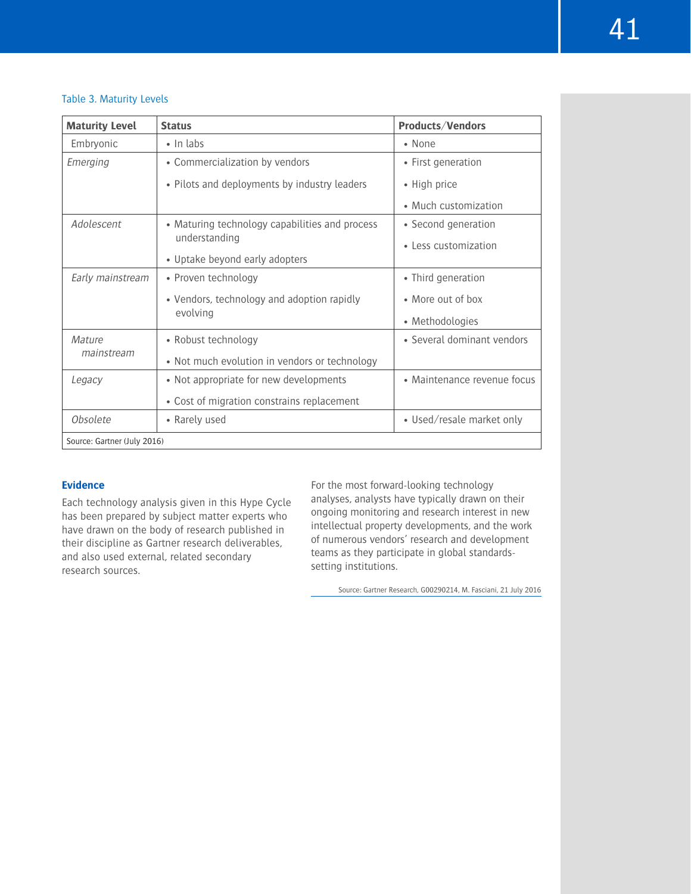#### Table 3. Maturity Levels

| <b>Maturity Level</b>       | <b>Status</b>                                  | Products/Vendors            |
|-----------------------------|------------------------------------------------|-----------------------------|
| Embryonic                   | $\cdot$ In labs                                | • None                      |
| Emerging                    | • Commercialization by vendors                 | • First generation          |
|                             | • Pilots and deployments by industry leaders   | • High price                |
|                             |                                                | • Much customization        |
| Adolescent                  | • Maturing technology capabilities and process | • Second generation         |
|                             | understanding                                  | • Less customization        |
|                             | • Uptake beyond early adopters                 |                             |
| Early mainstream            | • Proven technology                            | • Third generation          |
|                             | • Vendors, technology and adoption rapidly     | • More out of box           |
|                             | evolving                                       | • Methodologies             |
| Mature                      | • Robust technology                            | • Several dominant vendors  |
| mainstream                  | • Not much evolution in vendors or technology  |                             |
| Legacy                      | • Not appropriate for new developments         | • Maintenance revenue focus |
|                             | • Cost of migration constrains replacement     |                             |
| Obsolete                    | • Rarely used                                  | • Used/resale market only   |
| Source: Gartner (July 2016) |                                                |                             |

# **Evidence**

Each technology analysis given in this Hype Cycle has been prepared by subject matter experts who have drawn on the body of research published in their discipline as Gartner research deliverables, and also used external, related secondary research sources.

For the most forward-looking technology analyses, analysts have typically drawn on their ongoing monitoring and research interest in new intellectual property developments, and the work of numerous vendors' research and development teams as they participate in global standardssetting institutions.

Source: Gartner Research, G00290214, M. Fasciani, 21 July 2016